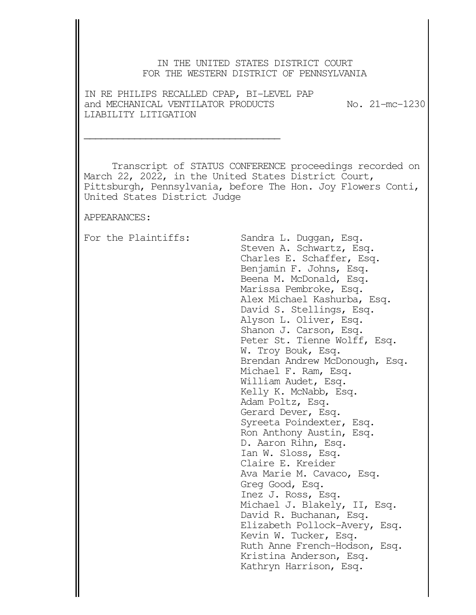## IN THE UNITED STATES DISTRICT COURT FOR THE WESTERN DISTRICT OF PENNSYLVANIA

IN RE PHILIPS RECALLED CPAP, BI-LEVEL PAP and MECHANICAL VENTILATOR PRODUCTS No. 21-mc-1230 LIABILITY LITIGATION

\_\_\_\_\_\_\_\_\_\_\_\_\_\_\_\_\_\_\_\_\_\_\_\_\_\_\_\_\_\_\_\_\_\_\_

 Transcript of STATUS CONFERENCE proceedings recorded on March 22, 2022, in the United States District Court, Pittsburgh, Pennsylvania, before The Hon. Joy Flowers Conti, United States District Judge

APPEARANCES:

For the Plaintiffs: Sandra L. Duggan, Esq. Steven A. Schwartz, Esq. Charles E. Schaffer, Esq. Benjamin F. Johns, Esq. Beena M. McDonald, Esq. Marissa Pembroke, Esq. Alex Michael Kashurba, Esq. David S. Stellings, Esq. Alyson L. Oliver, Esq. Shanon J. Carson, Esq. Peter St. Tienne Wolff, Esq. W. Troy Bouk, Esq. Brendan Andrew McDonough, Esq. Michael F. Ram, Esq. William Audet, Esq. Kelly K. McNabb, Esq. Adam Poltz, Esq. Gerard Dever, Esq. Syreeta Poindexter, Esq. Ron Anthony Austin, Esq. D. Aaron Rihn, Esq. Ian W. Sloss, Esq. Claire E. Kreider Ava Marie M. Cavaco, Esq. Greg Good, Esq. Inez J. Ross, Esq. Michael J. Blakely, II, Esq. David R. Buchanan, Esq. Elizabeth Pollock-Avery, Esq. Kevin W. Tucker, Esq. Ruth Anne French-Hodson, Esq. Kristina Anderson, Esq. Kathryn Harrison, Esq.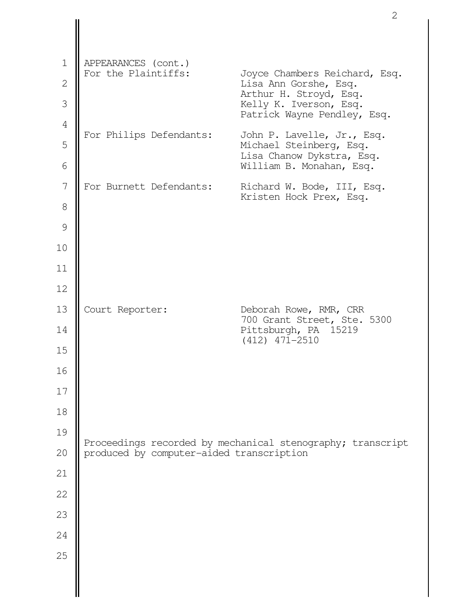| $\mathbf 1$  |                                            |                                                            |
|--------------|--------------------------------------------|------------------------------------------------------------|
| $\mathbf{2}$ | APPEARANCES (cont.)<br>For the Plaintiffs: | Joyce Chambers Reichard, Esq.<br>Lisa Ann Gorshe, Esq.     |
| 3            |                                            | Arthur H. Stroyd, Esq.<br>Kelly K. Iverson, Esq.           |
| $\sqrt{4}$   |                                            | Patrick Wayne Pendley, Esq.                                |
| 5            | For Philips Defendants:                    | John P. Lavelle, Jr., Esq.<br>Michael Steinberg, Esq.      |
| 6            |                                            | Lisa Chanow Dykstra, Esq.<br>William B. Monahan, Esq.      |
| 7            | For Burnett Defendants:                    | Richard W. Bode, III, Esq.<br>Kristen Hock Prex, Esq.      |
| 8            |                                            |                                                            |
| 9            |                                            |                                                            |
| 10           |                                            |                                                            |
| 11           |                                            |                                                            |
| 12           |                                            |                                                            |
| 13           | Court Reporter:                            | Deborah Rowe, RMR, CRR<br>700 Grant Street, Ste. 5300      |
| 14           |                                            | Pittsburgh, PA 15219<br>$(412)$ $471 - 2510$               |
| 15           |                                            |                                                            |
| 16           |                                            |                                                            |
| 17           |                                            |                                                            |
| 18           |                                            |                                                            |
| 19           |                                            | Proceedings recorded by mechanical stenography; transcript |
| 20           | produced by computer-aided transcription   |                                                            |
| 21           |                                            |                                                            |
| 22           |                                            |                                                            |
| 23           |                                            |                                                            |
| 24           |                                            |                                                            |
| 25           |                                            |                                                            |
|              |                                            |                                                            |
|              |                                            |                                                            |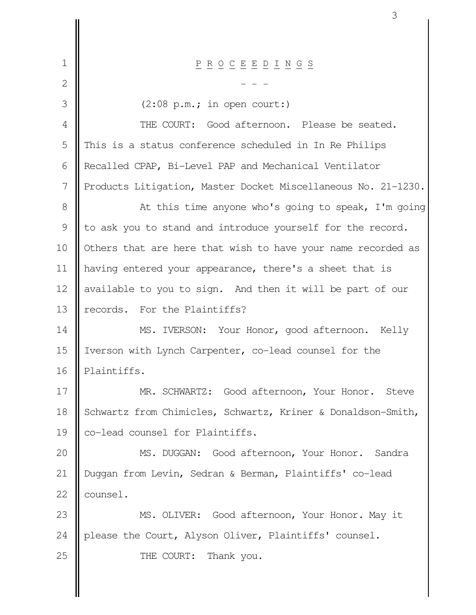| $\mathbf 1$   | $\underline{P} \underline{R} \underline{O} \underline{C} \underline{E} \underline{E} \underline{D} \underline{I} \underline{N} \underline{G} \underline{S}$ |  |
|---------------|-------------------------------------------------------------------------------------------------------------------------------------------------------------|--|
| 2             |                                                                                                                                                             |  |
| 3             | $(2:08 \text{ p.m.}; \text{ in open court:})$                                                                                                               |  |
| 4             | THE COURT: Good afternoon. Please be seated.                                                                                                                |  |
| 5             | This is a status conference scheduled in In Re Philips                                                                                                      |  |
| 6             | Recalled CPAP, Bi-Level PAP and Mechanical Ventilator                                                                                                       |  |
| 7             | Products Litigation, Master Docket Miscellaneous No. 21-1230.                                                                                               |  |
| 8             | At this time anyone who's going to speak, I'm going                                                                                                         |  |
| $\mathcal{G}$ | to ask you to stand and introduce yourself for the record.                                                                                                  |  |
| 10            | Others that are here that wish to have your name recorded as                                                                                                |  |
| 11            | having entered your appearance, there's a sheet that is                                                                                                     |  |
| 12            | available to you to sign. And then it will be part of our                                                                                                   |  |
| 13            | records. For the Plaintiffs?                                                                                                                                |  |
| 14            | MS. IVERSON: Your Honor, good afternoon. Kelly                                                                                                              |  |
| 15            | Iverson with Lynch Carpenter, co-lead counsel for the                                                                                                       |  |
| 16            | Plaintiffs.                                                                                                                                                 |  |
| 17            | MR. SCHWARTZ: Good afternoon, Your Honor. Steve                                                                                                             |  |
| 18            | Schwartz from Chimicles, Schwartz, Kriner & Donaldson-Smith,                                                                                                |  |
| 19            | co-lead counsel for Plaintiffs.                                                                                                                             |  |
| 20            | MS. DUGGAN:<br>Good afternoon, Your Honor. Sandra                                                                                                           |  |
| 21            | Duggan from Levin, Sedran & Berman, Plaintiffs' co-lead                                                                                                     |  |
| 22            | counsel.                                                                                                                                                    |  |
| 23            | MS. OLIVER: Good afternoon, Your Honor. May it                                                                                                              |  |
| 24            | please the Court, Alyson Oliver, Plaintiffs' counsel.                                                                                                       |  |
| 25            | Thank you.<br>THE COURT:                                                                                                                                    |  |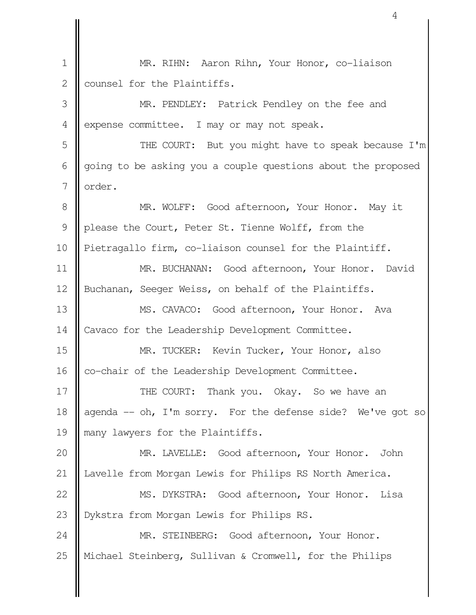MR. RIHN: Aaron Rihn, Your Honor, co-liaison counsel for the Plaintiffs. MR. PENDLEY: Patrick Pendley on the fee and expense committee. I may or may not speak. THE COURT: But you might have to speak because I'm going to be asking you a couple questions about the proposed order. MR. WOLFF: Good afternoon, Your Honor. May it please the Court, Peter St. Tienne Wolff, from the Pietragallo firm, co-liaison counsel for the Plaintiff. MR. BUCHANAN: Good afternoon, Your Honor. David Buchanan, Seeger Weiss, on behalf of the Plaintiffs. MS. CAVACO: Good afternoon, Your Honor. Ava Cavaco for the Leadership Development Committee. MR. TUCKER: Kevin Tucker, Your Honor, also co-chair of the Leadership Development Committee. THE COURT: Thank you. Okay. So we have an agenda -- oh, I'm sorry. For the defense side? We've got so many lawyers for the Plaintiffs. MR. LAVELLE: Good afternoon, Your Honor. John Lavelle from Morgan Lewis for Philips RS North America. MS. DYKSTRA: Good afternoon, Your Honor. Lisa Dykstra from Morgan Lewis for Philips RS. MR. STEINBERG: Good afternoon, Your Honor. Michael Steinberg, Sullivan & Cromwell, for the Philips 1 2 3 4 5 6 7 8 9 10 11 12 13 14 15 16 17 18 19 20 21 22 23 24 25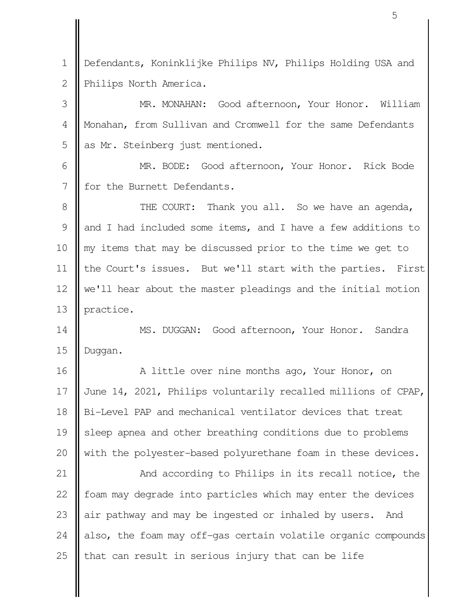Defendants, Koninklijke Philips NV, Philips Holding USA and Philips North America. 1 2

MR. MONAHAN: Good afternoon, Your Honor. William Monahan, from Sullivan and Cromwell for the same Defendants as Mr. Steinberg just mentioned. 3 4 5

MR. BODE: Good afternoon, Your Honor. Rick Bode for the Burnett Defendants. 6 7

THE COURT: Thank you all. So we have an agenda, and I had included some items, and I have a few additions to my items that may be discussed prior to the time we get to the Court's issues. But we'll start with the parties. First we'll hear about the master pleadings and the initial motion practice. 8 9 10 11 12 13

MS. DUGGAN: Good afternoon, Your Honor. Sandra Duggan. 14 15

A little over nine months ago, Your Honor, on June 14, 2021, Philips voluntarily recalled millions of CPAP, Bi-Level PAP and mechanical ventilator devices that treat sleep apnea and other breathing conditions due to problems with the polyester-based polyurethane foam in these devices. 16 17 18 19 20

And according to Philips in its recall notice, the foam may degrade into particles which may enter the devices air pathway and may be ingested or inhaled by users. And also, the foam may off-gas certain volatile organic compounds that can result in serious injury that can be life 21 22 23 24 25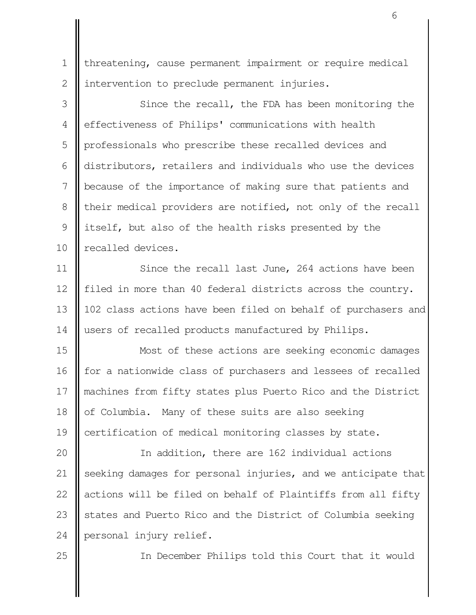threatening, cause permanent impairment or require medical intervention to preclude permanent injuries. 1 2

Since the recall, the FDA has been monitoring the effectiveness of Philips' communications with health professionals who prescribe these recalled devices and distributors, retailers and individuals who use the devices because of the importance of making sure that patients and their medical providers are notified, not only of the recall itself, but also of the health risks presented by the recalled devices. 3 4 5 6 7 8 9 10

Since the recall last June, 264 actions have been filed in more than 40 federal districts across the country. 102 class actions have been filed on behalf of purchasers and users of recalled products manufactured by Philips. 11 12 13 14

Most of these actions are seeking economic damages for a nationwide class of purchasers and lessees of recalled machines from fifty states plus Puerto Rico and the District of Columbia. Many of these suits are also seeking certification of medical monitoring classes by state. 15 16 17 18 19

In addition, there are 162 individual actions seeking damages for personal injuries, and we anticipate that actions will be filed on behalf of Plaintiffs from all fifty states and Puerto Rico and the District of Columbia seeking personal injury relief. 20 21 22 23 24

25

In December Philips told this Court that it would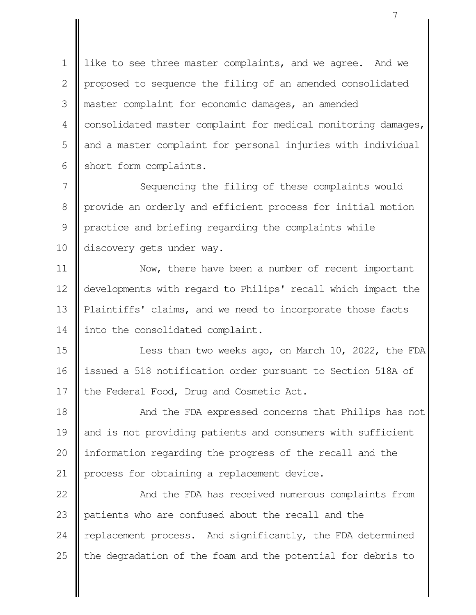like to see three master complaints, and we agree. And we proposed to sequence the filing of an amended consolidated master complaint for economic damages, an amended consolidated master complaint for medical monitoring damages, and a master complaint for personal injuries with individual short form complaints. 1  $\mathcal{L}$  3 4 5 6

Sequencing the filing of these complaints would provide an orderly and efficient process for initial motion practice and briefing regarding the complaints while discovery gets under way. 7 8 9 10

Now, there have been a number of recent important developments with regard to Philips' recall which impact the Plaintiffs' claims, and we need to incorporate those facts into the consolidated complaint. 11 12 13 14

Less than two weeks ago, on March 10, 2022, the FDA issued a 518 notification order pursuant to Section 518A of the Federal Food, Drug and Cosmetic Act. 15 16 17

And the FDA expressed concerns that Philips has not and is not providing patients and consumers with sufficient information regarding the progress of the recall and the process for obtaining a replacement device. 18 19 20 21

And the FDA has received numerous complaints from patients who are confused about the recall and the replacement process. And significantly, the FDA determined the degradation of the foam and the potential for debris to 22 23 24 25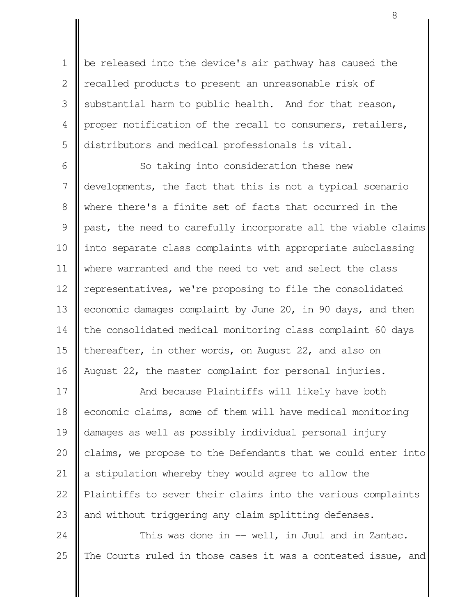be released into the device's air pathway has caused the recalled products to present an unreasonable risk of substantial harm to public health. And for that reason, proper notification of the recall to consumers, retailers, distributors and medical professionals is vital. 1  $\mathcal{L}$  3 4 5

So taking into consideration these new developments, the fact that this is not a typical scenario where there's a finite set of facts that occurred in the past, the need to carefully incorporate all the viable claims into separate class complaints with appropriate subclassing where warranted and the need to vet and select the class representatives, we're proposing to file the consolidated economic damages complaint by June 20, in 90 days, and then the consolidated medical monitoring class complaint 60 days thereafter, in other words, on August 22, and also on August 22, the master complaint for personal injuries. 6 7 8 9 10 11 12 13 14 15 16

And because Plaintiffs will likely have both economic claims, some of them will have medical monitoring damages as well as possibly individual personal injury claims, we propose to the Defendants that we could enter into a stipulation whereby they would agree to allow the Plaintiffs to sever their claims into the various complaints and without triggering any claim splitting defenses. 17 18 19 20 21 22 23

This was done in -- well, in Juul and in Zantac. The Courts ruled in those cases it was a contested issue, and 24 25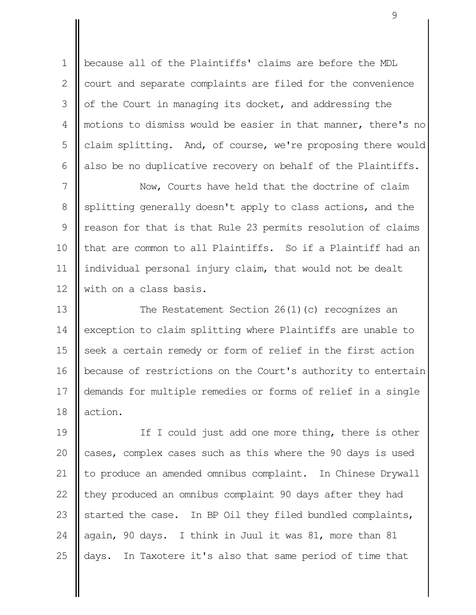because all of the Plaintiffs' claims are before the MDL court and separate complaints are filed for the convenience of the Court in managing its docket, and addressing the motions to dismiss would be easier in that manner, there's no claim splitting. And, of course, we're proposing there would also be no duplicative recovery on behalf of the Plaintiffs. 1  $\mathcal{L}$  3 4 5 6

Now, Courts have held that the doctrine of claim splitting generally doesn't apply to class actions, and the reason for that is that Rule 23 permits resolution of claims that are common to all Plaintiffs. So if a Plaintiff had an individual personal injury claim, that would not be dealt with on a class basis. 7 8 9 10 11 12

The Restatement Section 26(1)(c) recognizes an exception to claim splitting where Plaintiffs are unable to seek a certain remedy or form of relief in the first action because of restrictions on the Court's authority to entertain demands for multiple remedies or forms of relief in a single action. 13 14 15 16 17 18

If I could just add one more thing, there is other cases, complex cases such as this where the 90 days is used to produce an amended omnibus complaint. In Chinese Drywall they produced an omnibus complaint 90 days after they had started the case. In BP Oil they filed bundled complaints, again, 90 days. I think in Juul it was 81, more than 81 days. In Taxotere it's also that same period of time that 19 20 21 22 23 24 25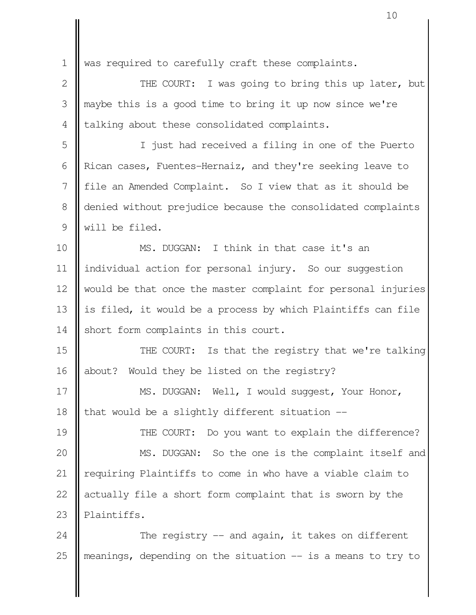was required to carefully craft these complaints. THE COURT: I was going to bring this up later, but maybe this is a good time to bring it up now since we're talking about these consolidated complaints. I just had received a filing in one of the Puerto Rican cases, Fuentes-Hernaiz, and they're seeking leave to file an Amended Complaint. So I view that as it should be denied without prejudice because the consolidated complaints will be filed. MS. DUGGAN: I think in that case it's an individual action for personal injury. So our suggestion would be that once the master complaint for personal injuries is filed, it would be a process by which Plaintiffs can file short form complaints in this court. THE COURT: Is that the registry that we're talking about? Would they be listed on the registry? MS. DUGGAN: Well, I would suggest, Your Honor, that would be a slightly different situation -- THE COURT: Do you want to explain the difference? MS. DUGGAN: So the one is the complaint itself and requiring Plaintiffs to come in who have a viable claim to actually file a short form complaint that is sworn by the Plaintiffs. The registry  $-$  and again, it takes on different 1 2 3 4 5 6 7 8 9 10 11 12 13 14 15 16 17 18 19 20 21 22 23 24

meanings, depending on the situation -- is a means to try to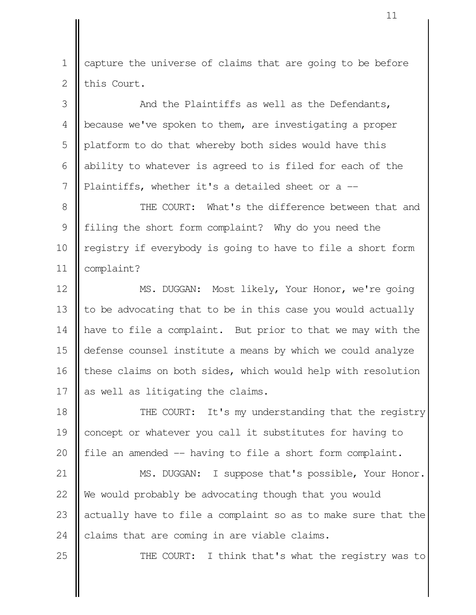capture the universe of claims that are going to be before this Court. 1 2

And the Plaintiffs as well as the Defendants, because we've spoken to them, are investigating a proper platform to do that whereby both sides would have this ability to whatever is agreed to is filed for each of the Plaintiffs, whether it's a detailed sheet or a -- 3 4 5 6 7

THE COURT: What's the difference between that and filing the short form complaint? Why do you need the registry if everybody is going to have to file a short form complaint? 8 9 10 11

MS. DUGGAN: Most likely, Your Honor, we're going to be advocating that to be in this case you would actually have to file a complaint. But prior to that we may with the defense counsel institute a means by which we could analyze these claims on both sides, which would help with resolution as well as litigating the claims. 12 13 14 15 16 17

THE COURT: It's my understanding that the registry concept or whatever you call it substitutes for having to file an amended -- having to file a short form complaint. 18 19 20

MS. DUGGAN: I suppose that's possible, Your Honor. We would probably be advocating though that you would actually have to file a complaint so as to make sure that the claims that are coming in are viable claims. 21 22 23 24

25

THE COURT: I think that's what the registry was to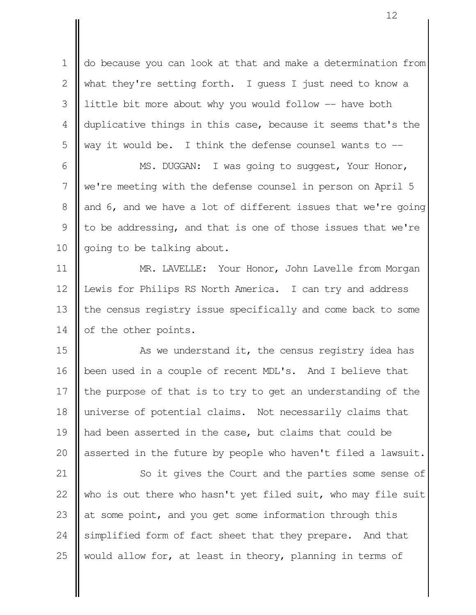do because you can look at that and make a determination from what they're setting forth. I guess I just need to know a little bit more about why you would follow -- have both duplicative things in this case, because it seems that's the way it would be. I think the defense counsel wants to -- 1  $\mathcal{L}$  3 4 5

MS. DUGGAN: I was going to suggest, Your Honor, we're meeting with the defense counsel in person on April 5 and 6, and we have a lot of different issues that we're going to be addressing, and that is one of those issues that we're going to be talking about. 6 7 8 9 10

MR. LAVELLE: Your Honor, John Lavelle from Morgan Lewis for Philips RS North America. I can try and address the census registry issue specifically and come back to some of the other points. 11 12 13 14

As we understand it, the census registry idea has been used in a couple of recent MDL's. And I believe that the purpose of that is to try to get an understanding of the universe of potential claims. Not necessarily claims that had been asserted in the case, but claims that could be asserted in the future by people who haven't filed a lawsuit. 15 16 17 18 19 20

So it gives the Court and the parties some sense of who is out there who hasn't yet filed suit, who may file suit at some point, and you get some information through this simplified form of fact sheet that they prepare. And that would allow for, at least in theory, planning in terms of 21 22 23 24 25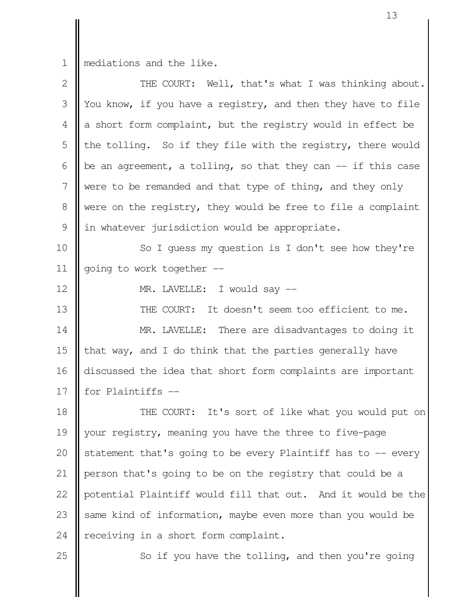1

|| mediations and the like.

| $\mathbf{2}$  | THE COURT: Well, that's what I was thinking about.            |  |
|---------------|---------------------------------------------------------------|--|
| 3             | You know, if you have a registry, and then they have to file  |  |
| 4             | a short form complaint, but the registry would in effect be   |  |
| 5             | the tolling. So if they file with the registry, there would   |  |
| 6             | be an agreement, a tolling, so that they can $-$ if this case |  |
| 7             | were to be remanded and that type of thing, and they only     |  |
| 8             | were on the registry, they would be free to file a complaint  |  |
| $\mathcal{G}$ | in whatever jurisdiction would be appropriate.                |  |
| 10            | So I guess my question is I don't see how they're             |  |
| 11            | going to work together --                                     |  |
| 12            | MR. LAVELLE: I would say --                                   |  |
| 13            | THE COURT: It doesn't seem too efficient to me.               |  |
| 14            | MR. LAVELLE: There are disadvantages to doing it              |  |
| 15            | that way, and I do think that the parties generally have      |  |
| 16            | discussed the idea that short form complaints are important   |  |
| 17            | for Plaintiffs --                                             |  |
| 18            | THE COURT: It's sort of like what you would put on            |  |
| 19            | your registry, meaning you have the three to five-page        |  |
| 20            | statement that's going to be every Plaintiff has to -- every  |  |
| 21            | person that's going to be on the registry that could be a     |  |
| 22            | potential Plaintiff would fill that out. And it would be the  |  |
| 23            | same kind of information, maybe even more than you would be   |  |
| 24            | receiving in a short form complaint.                          |  |
| 25            | So if you have the tolling, and then you're going             |  |

So if you have the tolling, and then you're going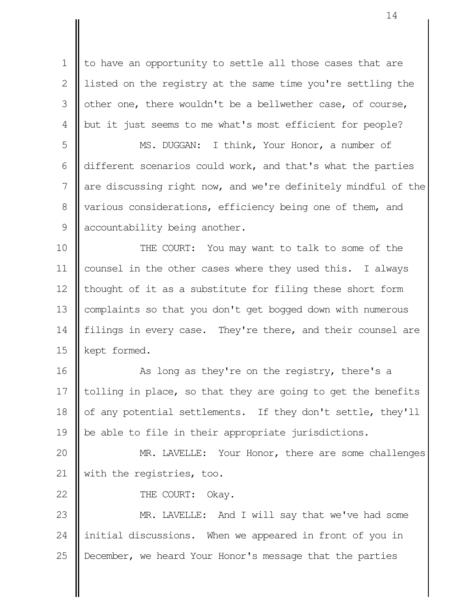to have an opportunity to settle all those cases that are listed on the registry at the same time you're settling the other one, there wouldn't be a bellwether case, of course, but it just seems to me what's most efficient for people? 1  $\mathcal{L}$  3 4

MS. DUGGAN: I think, Your Honor, a number of different scenarios could work, and that's what the parties are discussing right now, and we're definitely mindful of the various considerations, efficiency being one of them, and accountability being another. 5 6 7 8 9

THE COURT: You may want to talk to some of the counsel in the other cases where they used this. I always thought of it as a substitute for filing these short form complaints so that you don't get bogged down with numerous filings in every case. They're there, and their counsel are kept formed. 10 11 12 13 14 15

As long as they're on the registry, there's a tolling in place, so that they are going to get the benefits of any potential settlements. If they don't settle, they'll be able to file in their appropriate jurisdictions. 16 17 18 19

MR. LAVELLE: Your Honor, there are some challenges with the registries, too. 20 21

22

THE COURT: Okay.

MR. LAVELLE: And I will say that we've had some initial discussions. When we appeared in front of you in December, we heard Your Honor's message that the parties 23 24 25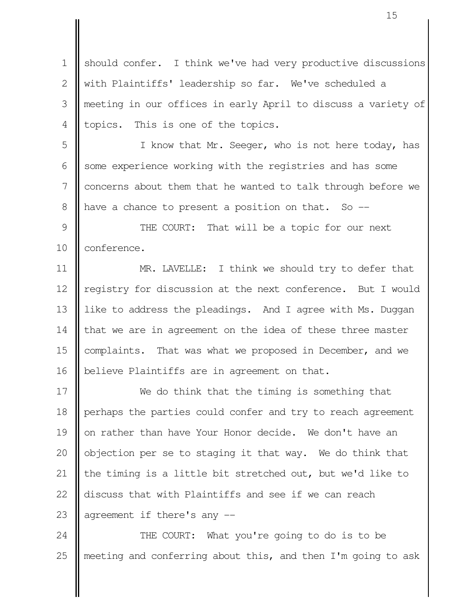should confer. I think we've had very productive discussions with Plaintiffs' leadership so far. We've scheduled a meeting in our offices in early April to discuss a variety of topics. This is one of the topics. 1  $\mathcal{L}$  3 4

I know that Mr. Seeger, who is not here today, has some experience working with the registries and has some concerns about them that he wanted to talk through before we have a chance to present a position on that. So -- 5 6 7 8

THE COURT: That will be a topic for our next conference. 9 10

MR. LAVELLE: I think we should try to defer that registry for discussion at the next conference. But I would like to address the pleadings. And I agree with Ms. Duggan that we are in agreement on the idea of these three master complaints. That was what we proposed in December, and we believe Plaintiffs are in agreement on that. 11 12 13 14 15 16

We do think that the timing is something that perhaps the parties could confer and try to reach agreement on rather than have Your Honor decide. We don't have an objection per se to staging it that way. We do think that the timing is a little bit stretched out, but we'd like to discuss that with Plaintiffs and see if we can reach agreement if there's any -- 17 18 19 20 21 22 23

THE COURT: What you're going to do is to be meeting and conferring about this, and then I'm going to ask 24 25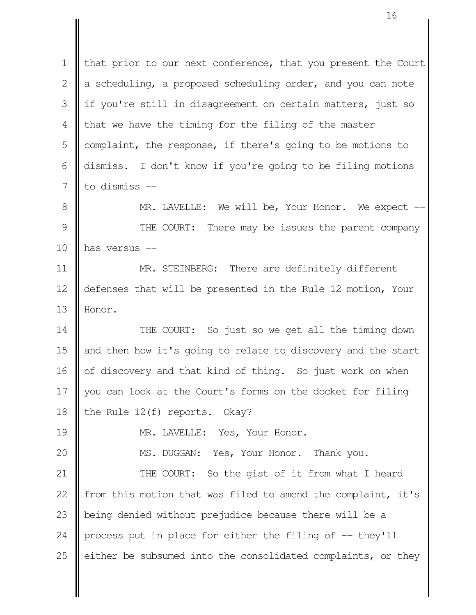that prior to our next conference, that you present the Court a scheduling, a proposed scheduling order, and you can note if you're still in disagreement on certain matters, just so that we have the timing for the filing of the master complaint, the response, if there's going to be motions to dismiss. I don't know if you're going to be filing motions to dismiss -- MR. LAVELLE: We will be, Your Honor. We expect --THE COURT: There may be issues the parent company has versus -- MR. STEINBERG: There are definitely different defenses that will be presented in the Rule 12 motion, Your Honor. THE COURT: So just so we get all the timing down and then how it's going to relate to discovery and the start of discovery and that kind of thing. So just work on when you can look at the Court's forms on the docket for filing the Rule 12(f) reports. Okay? MR. LAVELLE: Yes, Your Honor. MS. DUGGAN: Yes, Your Honor. Thank you. THE COURT: So the gist of it from what I heard from this motion that was filed to amend the complaint, it's being denied without prejudice because there will be a process put in place for either the filing of -- they'll either be subsumed into the consolidated complaints, or they 1 2 3 4 5 6 7 8 9 10 11 12 13 14 15 16 17 18 19 20 21 22 23 24 25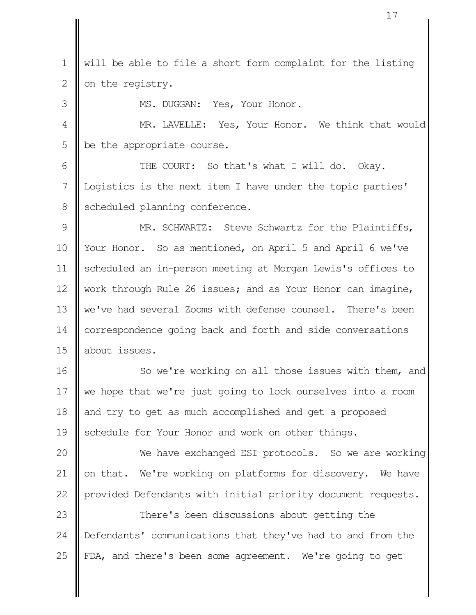will be able to file a short form complaint for the listing on the registry. 1 2

MS. DUGGAN: Yes, Your Honor.

3

MR. LAVELLE: Yes, Your Honor. We think that would be the appropriate course. 4 5

THE COURT: So that's what I will do. Okay. Logistics is the next item I have under the topic parties' scheduled planning conference. 6 7 8

MR. SCHWARTZ: Steve Schwartz for the Plaintiffs, Your Honor. So as mentioned, on April 5 and April 6 we've scheduled an in-person meeting at Morgan Lewis's offices to work through Rule 26 issues; and as Your Honor can imagine, we've had several Zooms with defense counsel. There's been correspondence going back and forth and side conversations about issues. 9 10 11 12 13 14 15

So we're working on all those issues with them, and we hope that we're just going to lock ourselves into a room and try to get as much accomplished and get a proposed schedule for Your Honor and work on other things. 16 17 18 19

We have exchanged ESI protocols. So we are working on that. We're working on platforms for discovery. We have provided Defendants with initial priority document requests. 20 21 22

There's been discussions about getting the Defendants' communications that they've had to and from the FDA, and there's been some agreement. We're going to get 23 24 25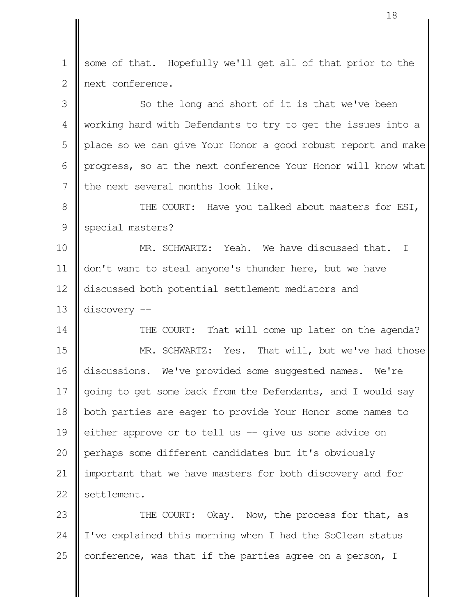some of that. Hopefully we'll get all of that prior to the next conference. 1  $\mathcal{L}$ 

So the long and short of it is that we've been working hard with Defendants to try to get the issues into a place so we can give Your Honor a good robust report and make progress, so at the next conference Your Honor will know what the next several months look like. 3 4 5 6 7

THE COURT: Have you talked about masters for ESI, special masters? 8 9

MR. SCHWARTZ: Yeah. We have discussed that. I don't want to steal anyone's thunder here, but we have discussed both potential settlement mediators and discovery -- 10 11 12 13

THE COURT: That will come up later on the agenda? MR. SCHWARTZ: Yes. That will, but we've had those discussions. We've provided some suggested names. We're going to get some back from the Defendants, and I would say both parties are eager to provide Your Honor some names to either approve or to tell us -- give us some advice on perhaps some different candidates but it's obviously important that we have masters for both discovery and for settlement. 14 15 16 17 18 19 20 21 22

THE COURT: Okay. Now, the process for that, as I've explained this morning when I had the SoClean status conference, was that if the parties agree on a person, I 23 24 25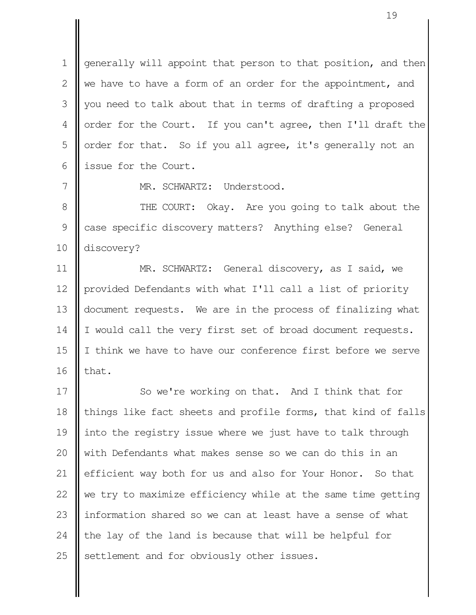generally will appoint that person to that position, and then we have to have a form of an order for the appointment, and you need to talk about that in terms of drafting a proposed order for the Court. If you can't agree, then I'll draft the order for that. So if you all agree, it's generally not an issue for the Court. 1  $\mathcal{L}$  3 4 5 6

MR. SCHWARTZ: Understood.

7

THE COURT: Okay. Are you going to talk about the case specific discovery matters? Anything else? General discovery? 8 9 10

MR. SCHWARTZ: General discovery, as I said, we provided Defendants with what I'll call a list of priority document requests. We are in the process of finalizing what I would call the very first set of broad document requests. I think we have to have our conference first before we serve that. 11 12 13 14 15 16

So we're working on that. And I think that for things like fact sheets and profile forms, that kind of falls into the registry issue where we just have to talk through with Defendants what makes sense so we can do this in an efficient way both for us and also for Your Honor. So that we try to maximize efficiency while at the same time getting information shared so we can at least have a sense of what the lay of the land is because that will be helpful for settlement and for obviously other issues. 17 18 19 20 21 22 23 24 25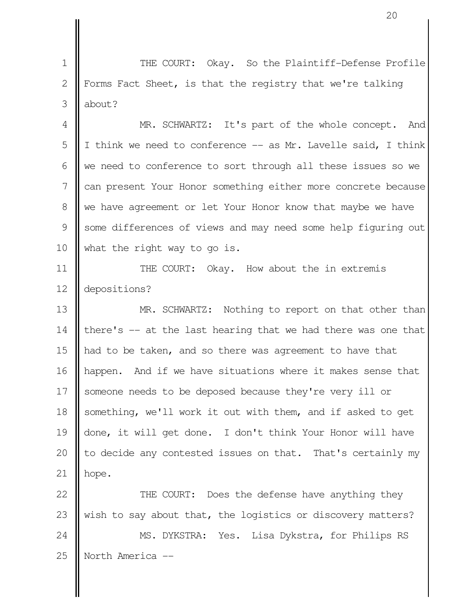THE COURT: Okay. So the Plaintiff-Defense Profile Forms Fact Sheet, is that the registry that we're talking about? 1 2 3

MR. SCHWARTZ: It's part of the whole concept. And I think we need to conference -- as Mr. Lavelle said, I think we need to conference to sort through all these issues so we can present Your Honor something either more concrete because we have agreement or let Your Honor know that maybe we have some differences of views and may need some help figuring out what the right way to go is. 4 5 6 7 8 9 10

THE COURT: Okay. How about the in extremis depositions? 11 12

MR. SCHWARTZ: Nothing to report on that other than there's -- at the last hearing that we had there was one that had to be taken, and so there was agreement to have that happen. And if we have situations where it makes sense that someone needs to be deposed because they're very ill or something, we'll work it out with them, and if asked to get done, it will get done. I don't think Your Honor will have to decide any contested issues on that. That's certainly my hope. 13 14 15 16 17 18 19 20 21

THE COURT: Does the defense have anything they wish to say about that, the logistics or discovery matters? MS. DYKSTRA: Yes. Lisa Dykstra, for Philips RS North America -- 22 23 24 25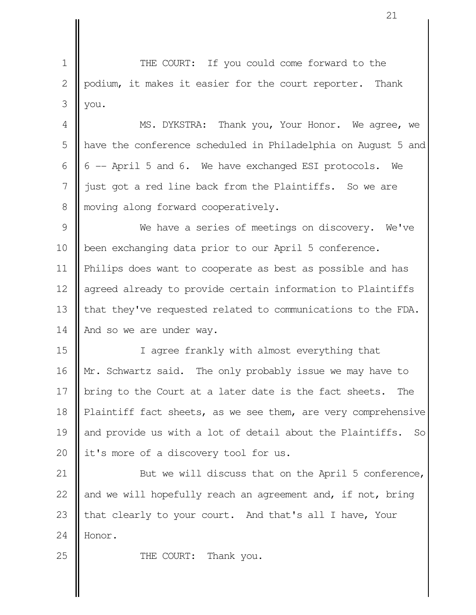THE COURT: If you could come forward to the podium, it makes it easier for the court reporter. Thank you. 1 2 3

MS. DYKSTRA: Thank you, Your Honor. We agree, we have the conference scheduled in Philadelphia on August 5 and 6 -- April 5 and 6. We have exchanged ESI protocols. We just got a red line back from the Plaintiffs. So we are moving along forward cooperatively. 4 5 6 7 8

We have a series of meetings on discovery. We've been exchanging data prior to our April 5 conference. Philips does want to cooperate as best as possible and has agreed already to provide certain information to Plaintiffs that they've requested related to communications to the FDA. And so we are under way. 9 10 11 12 13 14

I agree frankly with almost everything that Mr. Schwartz said. The only probably issue we may have to bring to the Court at a later date is the fact sheets. The Plaintiff fact sheets, as we see them, are very comprehensive and provide us with a lot of detail about the Plaintiffs. So it's more of a discovery tool for us. 15 16 17 18 19 20

But we will discuss that on the April 5 conference, and we will hopefully reach an agreement and, if not, bring that clearly to your court. And that's all I have, Your Honor. 21 22 23 24

THE COURT: Thank you.

25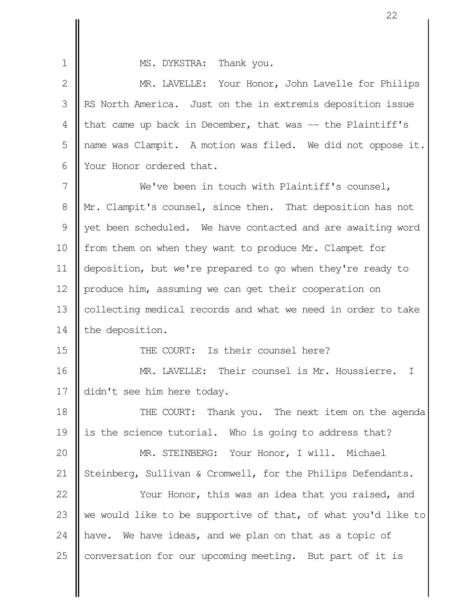1

15

MS. DYKSTRA: Thank you.

MR. LAVELLE: Your Honor, John Lavelle for Philips RS North America. Just on the in extremis deposition issue that came up back in December, that was -- the Plaintiff's name was Clampit. A motion was filed. We did not oppose it. Your Honor ordered that.  $\mathcal{L}$  3 4 5 6

We've been in touch with Plaintiff's counsel, Mr. Clampit's counsel, since then. That deposition has not yet been scheduled. We have contacted and are awaiting word from them on when they want to produce Mr. Clampet for deposition, but we're prepared to go when they're ready to produce him, assuming we can get their cooperation on collecting medical records and what we need in order to take the deposition. 7 8 9 10 11 12 13 14

THE COURT: Is their counsel here?

MR. LAVELLE: Their counsel is Mr. Houssierre. I didn't see him here today. 16 17

THE COURT: Thank you. The next item on the agenda is the science tutorial. Who is going to address that? 18 19

MR. STEINBERG: Your Honor, I will. Michael Steinberg, Sullivan & Cromwell, for the Philips Defendants. 20 21

Your Honor, this was an idea that you raised, and we would like to be supportive of that, of what you'd like to have. We have ideas, and we plan on that as a topic of conversation for our upcoming meeting. But part of it is 22 23 24 25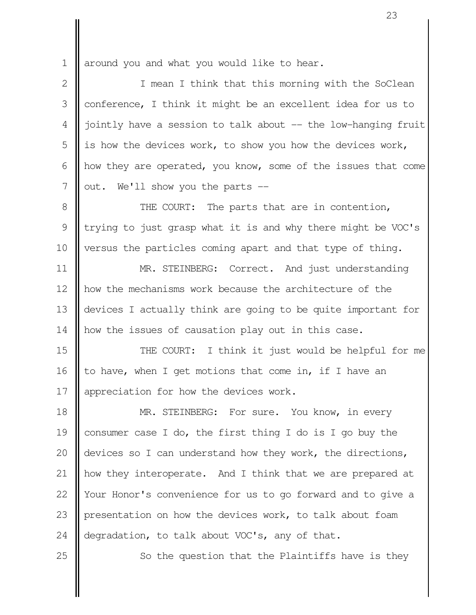around you and what you would like to hear. 1

I mean I think that this morning with the SoClean conference, I think it might be an excellent idea for us to jointly have a session to talk about -- the low-hanging fruit is how the devices work, to show you how the devices work, how they are operated, you know, some of the issues that come out. We'll show you the parts -- 2 3 4 5 6 7

THE COURT: The parts that are in contention, trying to just grasp what it is and why there might be VOC's versus the particles coming apart and that type of thing. 8 9 10

MR. STEINBERG: Correct. And just understanding how the mechanisms work because the architecture of the devices I actually think are going to be quite important for how the issues of causation play out in this case. 11 12 13 14

THE COURT: I think it just would be helpful for me to have, when I get motions that come in, if I have an appreciation for how the devices work. 15 16 17

MR. STEINBERG: For sure. You know, in every consumer case I do, the first thing I do is I go buy the devices so I can understand how they work, the directions, how they interoperate. And I think that we are prepared at Your Honor's convenience for us to go forward and to give a presentation on how the devices work, to talk about foam degradation, to talk about VOC's, any of that. 18 19 20 21 22 23 24

25

So the question that the Plaintiffs have is they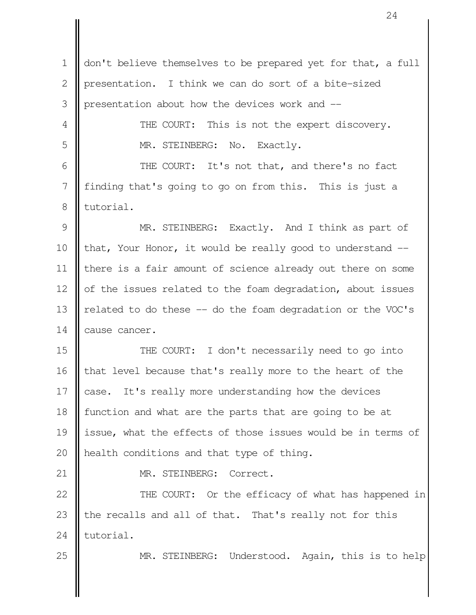don't believe themselves to be prepared yet for that, a full presentation. I think we can do sort of a bite-sized presentation about how the devices work and -- THE COURT: This is not the expert discovery. MR. STEINBERG: No. Exactly. THE COURT: It's not that, and there's no fact finding that's going to go on from this. This is just a tutorial. MR. STEINBERG: Exactly. And I think as part of that, Your Honor, it would be really good to understand -there is a fair amount of science already out there on some of the issues related to the foam degradation, about issues related to do these -- do the foam degradation or the VOC's cause cancer. THE COURT: I don't necessarily need to go into that level because that's really more to the heart of the case. It's really more understanding how the devices function and what are the parts that are going to be at issue, what the effects of those issues would be in terms of health conditions and that type of thing. MR. STEINBERG: Correct. THE COURT: Or the efficacy of what has happened in the recalls and all of that. That's really not for this tutorial. MR. STEINBERG: Understood. Again, this is to help 1 2 3 4 5 6 7 8 9 10 11 12 13 14 15 16 17 18 19 20 21 22 23 24 25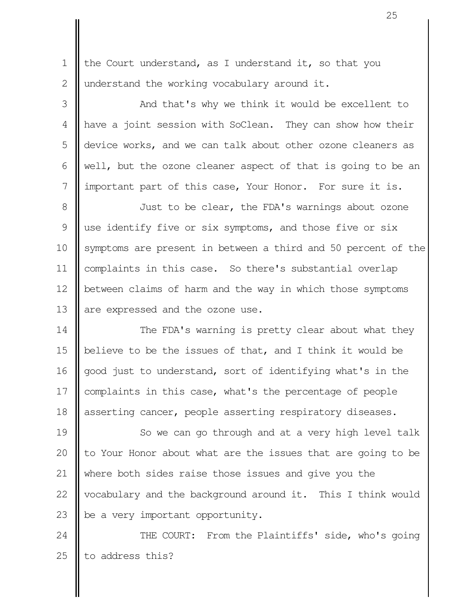the Court understand, as I understand it, so that you understand the working vocabulary around it. 1  $\mathcal{L}$ 

And that's why we think it would be excellent to have a joint session with SoClean. They can show how their device works, and we can talk about other ozone cleaners as well, but the ozone cleaner aspect of that is going to be an important part of this case, Your Honor. For sure it is. 3 4 5 6 7

Just to be clear, the FDA's warnings about ozone use identify five or six symptoms, and those five or six symptoms are present in between a third and 50 percent of the complaints in this case. So there's substantial overlap between claims of harm and the way in which those symptoms are expressed and the ozone use. 8 9 10 11 12 13

The FDA's warning is pretty clear about what they believe to be the issues of that, and I think it would be good just to understand, sort of identifying what's in the complaints in this case, what's the percentage of people asserting cancer, people asserting respiratory diseases. 14 15 16 17 18

So we can go through and at a very high level talk to Your Honor about what are the issues that are going to be where both sides raise those issues and give you the vocabulary and the background around it. This I think would be a very important opportunity. 19 20 21 22 23

THE COURT: From the Plaintiffs' side, who's going to address this? 24 25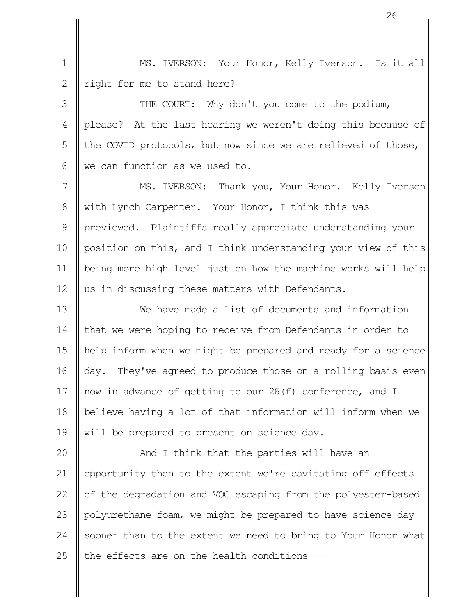MS. IVERSON: Your Honor, Kelly Iverson. Is it all right for me to stand here? 1 2

THE COURT: Why don't you come to the podium, please? At the last hearing we weren't doing this because of the COVID protocols, but now since we are relieved of those, we can function as we used to. 3 4 5 6

MS. IVERSON: Thank you, Your Honor. Kelly Iverson with Lynch Carpenter. Your Honor, I think this was previewed. Plaintiffs really appreciate understanding your position on this, and I think understanding your view of this being more high level just on how the machine works will help us in discussing these matters with Defendants. 7 8 9 10 11 12

We have made a list of documents and information that we were hoping to receive from Defendants in order to help inform when we might be prepared and ready for a science day. They've agreed to produce those on a rolling basis even now in advance of getting to our 26(f) conference, and I believe having a lot of that information will inform when we will be prepared to present on science day. 13 14 15 16 17 18 19

And I think that the parties will have an opportunity then to the extent we're cavitating off effects of the degradation and VOC escaping from the polyester-based polyurethane foam, we might be prepared to have science day sooner than to the extent we need to bring to Your Honor what the effects are on the health conditions -- 20 21 22 23 24 25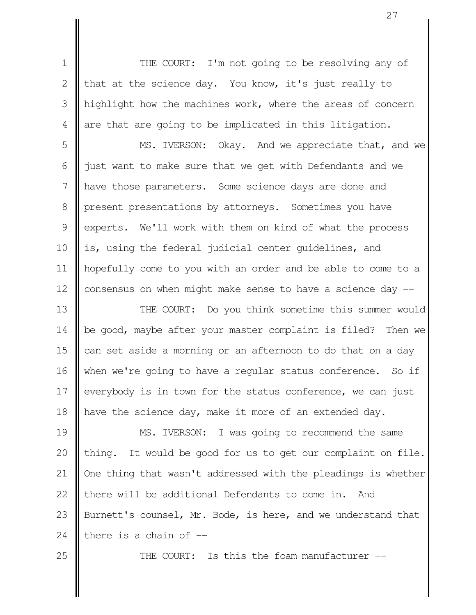THE COURT: I'm not going to be resolving any of that at the science day. You know, it's just really to highlight how the machines work, where the areas of concern are that are going to be implicated in this litigation. 1 2 3 4

MS. IVERSON: Okay. And we appreciate that, and we just want to make sure that we get with Defendants and we have those parameters. Some science days are done and present presentations by attorneys. Sometimes you have experts. We'll work with them on kind of what the process is, using the federal judicial center guidelines, and hopefully come to you with an order and be able to come to a consensus on when might make sense to have a science day -- 5 6 7 8 9 10 11 12

THE COURT: Do you think sometime this summer would be good, maybe after your master complaint is filed? Then we can set aside a morning or an afternoon to do that on a day when we're going to have a regular status conference. So if everybody is in town for the status conference, we can just have the science day, make it more of an extended day. 13 14 15 16 17 18

MS. IVERSON: I was going to recommend the same thing. It would be good for us to get our complaint on file. One thing that wasn't addressed with the pleadings is whether there will be additional Defendants to come in. And Burnett's counsel, Mr. Bode, is here, and we understand that there is a chain of  $-$ 19 20 21 22 23 24

25

THE COURT: Is this the foam manufacturer --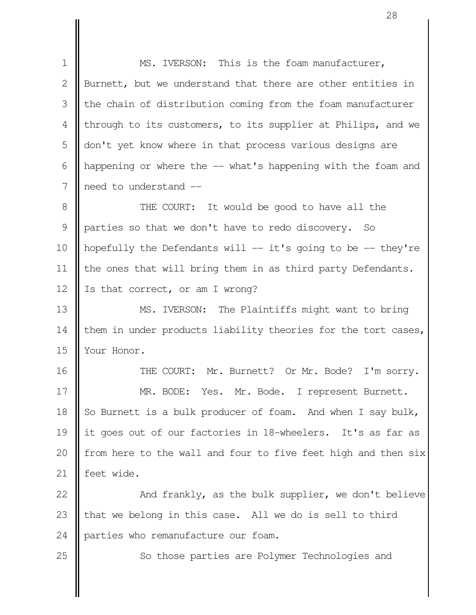MS. IVERSON: This is the foam manufacturer, Burnett, but we understand that there are other entities in the chain of distribution coming from the foam manufacturer through to its customers, to its supplier at Philips, and we don't yet know where in that process various designs are happening or where the -- what's happening with the foam and need to understand -- THE COURT: It would be good to have all the parties so that we don't have to redo discovery. So hopefully the Defendants will -- it's going to be -- they're the ones that will bring them in as third party Defendants. Is that correct, or am I wrong? MS. IVERSON: The Plaintiffs might want to bring them in under products liability theories for the tort cases, Your Honor. THE COURT: Mr. Burnett? Or Mr. Bode? I'm sorry. MR. BODE: Yes. Mr. Bode. I represent Burnett. So Burnett is a bulk producer of foam. And when I say bulk, it goes out of our factories in 18-wheelers. It's as far as from here to the wall and four to five feet high and then six feet wide. And frankly, as the bulk supplier, we don't believe that we belong in this case. All we do is sell to third parties who remanufacture our foam. 1 2 3 4 5 6 7 8 9 10 11 12 13 14 15 16 17 18 19 20 21 22 23 24

25

So those parties are Polymer Technologies and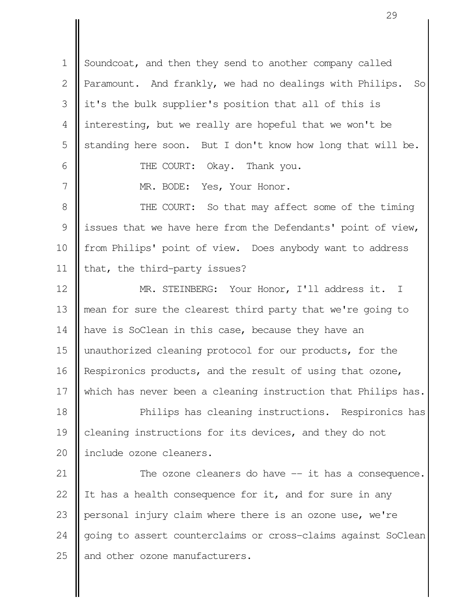Soundcoat, and then they send to another company called Paramount. And frankly, we had no dealings with Philips. So it's the bulk supplier's position that all of this is interesting, but we really are hopeful that we won't be standing here soon. But I don't know how long that will be. THE COURT: Okay. Thank you. 1  $\mathcal{L}$  3 4 5 6

MR. BODE: Yes, Your Honor.

THE COURT: So that may affect some of the timing issues that we have here from the Defendants' point of view, from Philips' point of view. Does anybody want to address that, the third-party issues? 8 9 10 11

MR. STEINBERG: Your Honor, I'll address it. I mean for sure the clearest third party that we're going to have is SoClean in this case, because they have an unauthorized cleaning protocol for our products, for the Respironics products, and the result of using that ozone, which has never been a cleaning instruction that Philips has. Philips has cleaning instructions. Respironics has cleaning instructions for its devices, and they do not 12 13 14 15 16 17 18 19

include ozone cleaners. 20

7

The ozone cleaners do have -- it has a consequence. It has a health consequence for it, and for sure in any personal injury claim where there is an ozone use, we're going to assert counterclaims or cross-claims against SoClean and other ozone manufacturers. 21 22 23 24 25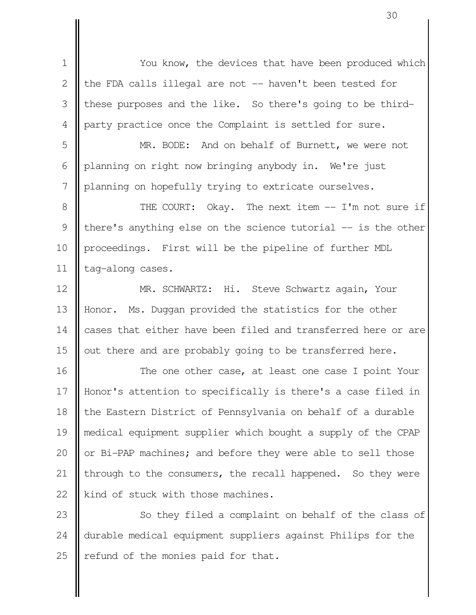You know, the devices that have been produced which the FDA calls illegal are not -- haven't been tested for these purposes and the like. So there's going to be thirdparty practice once the Complaint is settled for sure. 1 2 3 4

MR. BODE: And on behalf of Burnett, we were not planning on right now bringing anybody in. We're just planning on hopefully trying to extricate ourselves. 5 6 7

THE COURT: Okay. The next item -- I'm not sure if there's anything else on the science tutorial -- is the other proceedings. First will be the pipeline of further MDL tag-along cases. 8 9 10 11

MR. SCHWARTZ: Hi. Steve Schwartz again, Your Honor. Ms. Duggan provided the statistics for the other cases that either have been filed and transferred here or are out there and are probably going to be transferred here. 12 13 14 15

The one other case, at least one case I point Your Honor's attention to specifically is there's a case filed in the Eastern District of Pennsylvania on behalf of a durable medical equipment supplier which bought a supply of the CPAP or Bi-PAP machines; and before they were able to sell those through to the consumers, the recall happened. So they were kind of stuck with those machines. 16 17 18 19 20 21 22

So they filed a complaint on behalf of the class of durable medical equipment suppliers against Philips for the refund of the monies paid for that. 23 24 25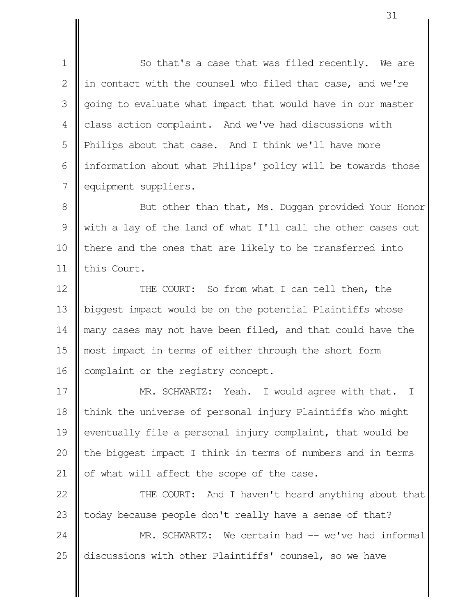So that's a case that was filed recently. We are in contact with the counsel who filed that case, and we're going to evaluate what impact that would have in our master class action complaint. And we've had discussions with Philips about that case. And I think we'll have more information about what Philips' policy will be towards those equipment suppliers. 1  $\mathcal{L}$  3 4 5 6 7

But other than that, Ms. Duggan provided Your Honor with a lay of the land of what I'll call the other cases out there and the ones that are likely to be transferred into this Court. 8 9 10 11

THE COURT: So from what I can tell then, the biggest impact would be on the potential Plaintiffs whose many cases may not have been filed, and that could have the most impact in terms of either through the short form complaint or the registry concept. 12 13 14 15 16

MR. SCHWARTZ: Yeah. I would agree with that. I think the universe of personal injury Plaintiffs who might eventually file a personal injury complaint, that would be the biggest impact I think in terms of numbers and in terms of what will affect the scope of the case. 17 18 19 20 21

THE COURT: And I haven't heard anything about that today because people don't really have a sense of that? MR. SCHWARTZ: We certain had -- we've had informal 22 23 24

discussions with other Plaintiffs' counsel, so we have 25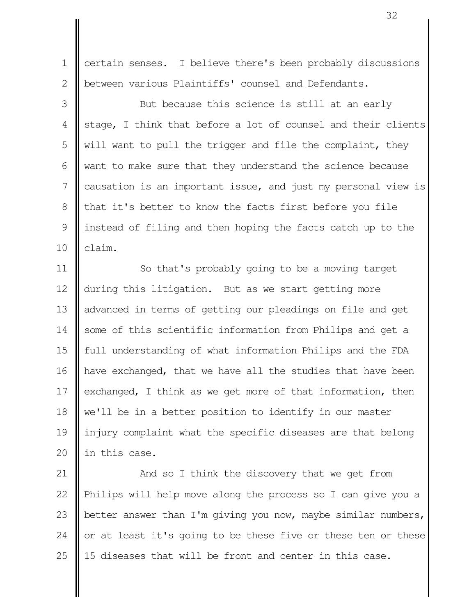certain senses. I believe there's been probably discussions between various Plaintiffs' counsel and Defendants. 1 2

But because this science is still at an early stage, I think that before a lot of counsel and their clients will want to pull the trigger and file the complaint, they want to make sure that they understand the science because causation is an important issue, and just my personal view is that it's better to know the facts first before you file instead of filing and then hoping the facts catch up to the claim. 3 4 5 6 7 8 9 10

So that's probably going to be a moving target during this litigation. But as we start getting more advanced in terms of getting our pleadings on file and get some of this scientific information from Philips and get a full understanding of what information Philips and the FDA have exchanged, that we have all the studies that have been exchanged, I think as we get more of that information, then we'll be in a better position to identify in our master injury complaint what the specific diseases are that belong in this case. 11 12 13 14 15 16 17 18 19 20

And so I think the discovery that we get from Philips will help move along the process so I can give you a better answer than I'm giving you now, maybe similar numbers, or at least it's going to be these five or these ten or these 15 diseases that will be front and center in this case. 21 22 23 24 25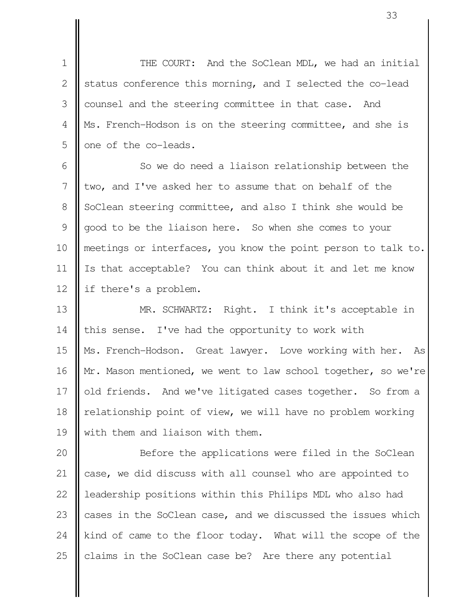THE COURT: And the SoClean MDL, we had an initial status conference this morning, and I selected the co-lead counsel and the steering committee in that case. And Ms. French-Hodson is on the steering committee, and she is one of the co-leads. 1 2 3 4 5

So we do need a liaison relationship between the two, and I've asked her to assume that on behalf of the SoClean steering committee, and also I think she would be good to be the liaison here. So when she comes to your meetings or interfaces, you know the point person to talk to. Is that acceptable? You can think about it and let me know if there's a problem. 6 7 8 9 10 11 12

MR. SCHWARTZ: Right. I think it's acceptable in this sense. I've had the opportunity to work with Ms. French-Hodson. Great lawyer. Love working with her. As Mr. Mason mentioned, we went to law school together, so we're old friends. And we've litigated cases together. So from a relationship point of view, we will have no problem working with them and liaison with them. 13 14 15 16 17 18 19

Before the applications were filed in the SoClean case, we did discuss with all counsel who are appointed to leadership positions within this Philips MDL who also had cases in the SoClean case, and we discussed the issues which kind of came to the floor today. What will the scope of the claims in the SoClean case be? Are there any potential 20 21 22 23 24 25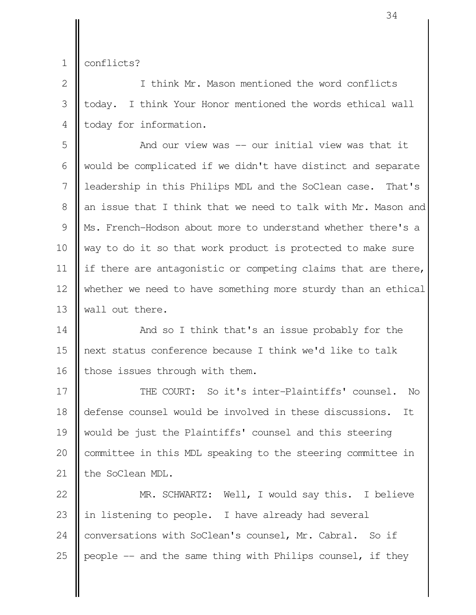conflicts? 1

I think Mr. Mason mentioned the word conflicts today. I think Your Honor mentioned the words ethical wall today for information. 2 3 4

And our view was -- our initial view was that it would be complicated if we didn't have distinct and separate leadership in this Philips MDL and the SoClean case. That's an issue that I think that we need to talk with Mr. Mason and Ms. French-Hodson about more to understand whether there's a way to do it so that work product is protected to make sure if there are antagonistic or competing claims that are there, whether we need to have something more sturdy than an ethical wall out there. 5 6 7 8 9 10 11 12 13

And so I think that's an issue probably for the next status conference because I think we'd like to talk those issues through with them. 14 15 16

THE COURT: So it's inter-Plaintiffs' counsel. No defense counsel would be involved in these discussions. It would be just the Plaintiffs' counsel and this steering committee in this MDL speaking to the steering committee in the SoClean MDL. 17 18 19 20 21

MR. SCHWARTZ: Well, I would say this. I believe in listening to people. I have already had several conversations with SoClean's counsel, Mr. Cabral. So if people -- and the same thing with Philips counsel, if they 22 23 24 25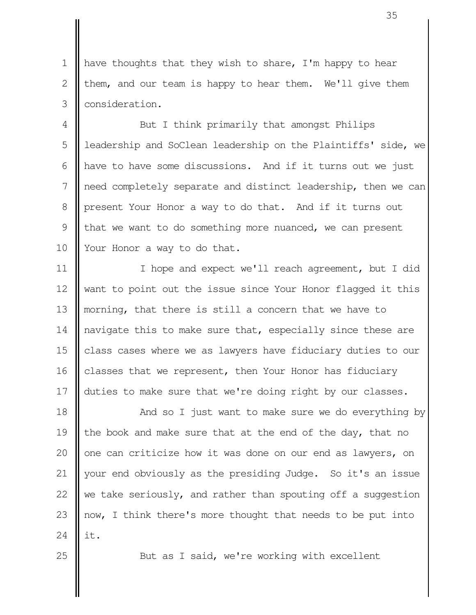have thoughts that they wish to share, I'm happy to hear them, and our team is happy to hear them. We'll give them consideration. 1  $\mathcal{L}$ 3

But I think primarily that amongst Philips leadership and SoClean leadership on the Plaintiffs' side, we have to have some discussions. And if it turns out we just need completely separate and distinct leadership, then we can present Your Honor a way to do that. And if it turns out that we want to do something more nuanced, we can present Your Honor a way to do that. 4 5 6 7 8 9 10

I hope and expect we'll reach agreement, but I did want to point out the issue since Your Honor flagged it this morning, that there is still a concern that we have to navigate this to make sure that, especially since these are class cases where we as lawyers have fiduciary duties to our classes that we represent, then Your Honor has fiduciary duties to make sure that we're doing right by our classes. 11 12 13 14 15 16 17

And so I just want to make sure we do everything by the book and make sure that at the end of the day, that no one can criticize how it was done on our end as lawyers, on your end obviously as the presiding Judge. So it's an issue we take seriously, and rather than spouting off a suggestion now, I think there's more thought that needs to be put into it. 18 19 20 21 22 23 24

25

But as I said, we're working with excellent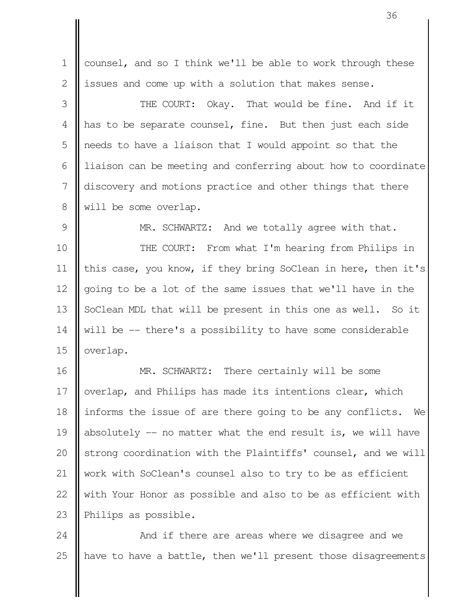counsel, and so I think we'll be able to work through these issues and come up with a solution that makes sense. 1 2

THE COURT: Okay. That would be fine. And if it has to be separate counsel, fine. But then just each side needs to have a liaison that I would appoint so that the liaison can be meeting and conferring about how to coordinate discovery and motions practice and other things that there will be some overlap. 3 4 5 6 7 8

MR. SCHWARTZ: And we totally agree with that. THE COURT: From what I'm hearing from Philips in this case, you know, if they bring SoClean in here, then it's going to be a lot of the same issues that we'll have in the SoClean MDL that will be present in this one as well. So it will be -- there's a possibility to have some considerable overlap. 9 10 11 12 13 14 15

MR. SCHWARTZ: There certainly will be some overlap, and Philips has made its intentions clear, which informs the issue of are there going to be any conflicts. We absolutely  $-$  no matter what the end result is, we will have strong coordination with the Plaintiffs' counsel, and we will work with SoClean's counsel also to try to be as efficient with Your Honor as possible and also to be as efficient with Philips as possible. 16 17 18 19 20 21 22 23

And if there are areas where we disagree and we have to have a battle, then we'll present those disagreements 24 25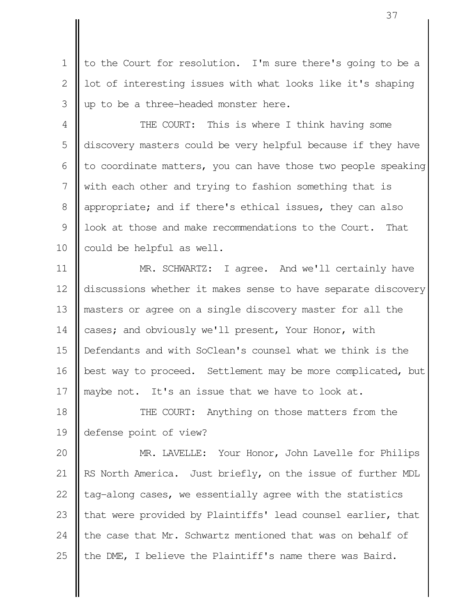to the Court for resolution. I'm sure there's going to be a lot of interesting issues with what looks like it's shaping up to be a three-headed monster here. 1 2 3

THE COURT: This is where I think having some discovery masters could be very helpful because if they have to coordinate matters, you can have those two people speaking with each other and trying to fashion something that is appropriate; and if there's ethical issues, they can also look at those and make recommendations to the Court. That could be helpful as well. 4 5 6 7 8 9 10

MR. SCHWARTZ: I agree. And we'll certainly have discussions whether it makes sense to have separate discovery masters or agree on a single discovery master for all the cases; and obviously we'll present, Your Honor, with Defendants and with SoClean's counsel what we think is the best way to proceed. Settlement may be more complicated, but maybe not. It's an issue that we have to look at. 11 12 13 14 15 16 17

THE COURT: Anything on those matters from the defense point of view? 18 19

MR. LAVELLE: Your Honor, John Lavelle for Philips RS North America. Just briefly, on the issue of further MDL tag-along cases, we essentially agree with the statistics that were provided by Plaintiffs' lead counsel earlier, that the case that Mr. Schwartz mentioned that was on behalf of the DME, I believe the Plaintiff's name there was Baird. 20 21 22 23 24 25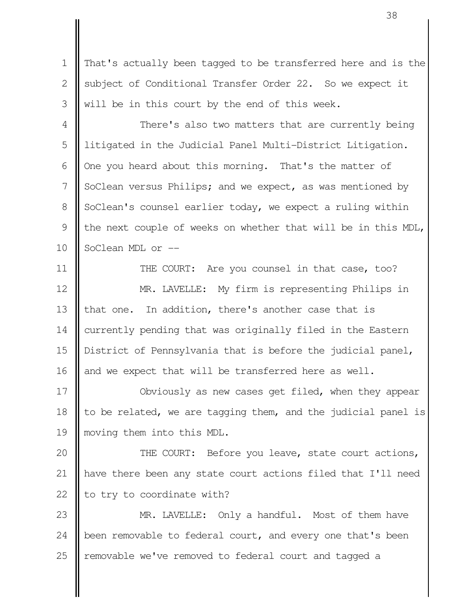That's actually been tagged to be transferred here and is the subject of Conditional Transfer Order 22. So we expect it will be in this court by the end of this week. 1  $\mathcal{D}_{\mathcal{L}}$ 3

There's also two matters that are currently being litigated in the Judicial Panel Multi-District Litigation. One you heard about this morning. That's the matter of SoClean versus Philips; and we expect, as was mentioned by SoClean's counsel earlier today, we expect a ruling within the next couple of weeks on whether that will be in this MDL, SoClean MDL or -- 4 5 6 7 8 9 10

THE COURT: Are you counsel in that case, too? MR. LAVELLE: My firm is representing Philips in that one. In addition, there's another case that is currently pending that was originally filed in the Eastern District of Pennsylvania that is before the judicial panel, and we expect that will be transferred here as well. 11 12 13 14 15 16

Obviously as new cases get filed, when they appear to be related, we are tagging them, and the judicial panel is moving them into this MDL. 17 18 19

THE COURT: Before you leave, state court actions, have there been any state court actions filed that I'll need to try to coordinate with? 20 21 22

MR. LAVELLE: Only a handful. Most of them have been removable to federal court, and every one that's been removable we've removed to federal court and tagged a 23 24 25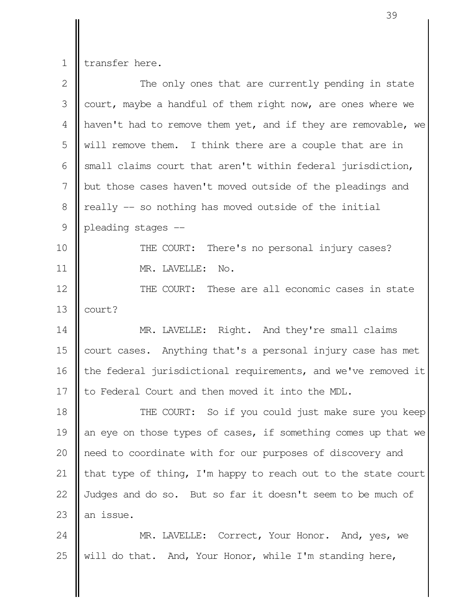transfer here. 1

| $\overline{2}$ | The only ones that are currently pending in state             |
|----------------|---------------------------------------------------------------|
| 3              | court, maybe a handful of them right now, are ones where we   |
| 4              | haven't had to remove them yet, and if they are removable, we |
| 5              | will remove them. I think there are a couple that are in      |
| 6              | small claims court that aren't within federal jurisdiction,   |
| 7              | but those cases haven't moved outside of the pleadings and    |
| 8              | really -- so nothing has moved outside of the initial         |
| 9              | pleading stages --                                            |
| 10             | THE COURT:<br>There's no personal injury cases?               |
| 11             | MR. LAVELLE: No.                                              |
| 12             | THE COURT: These are all economic cases in state              |
| 13             | court?                                                        |
| 14             | MR. LAVELLE: Right. And they're small claims                  |
| 15             | court cases. Anything that's a personal injury case has met   |
| 16             | the federal jurisdictional requirements, and we've removed it |
| 17             | to Federal Court and then moved it into the MDL.              |
| 18             | THE COURT: So if you could just make sure you keep            |
| 19             | an eye on those types of cases, if something comes up that we |
| 20             | need to coordinate with for our purposes of discovery and     |
| 21             | that type of thing, I'm happy to reach out to the state court |
| 22             | Judges and do so. But so far it doesn't seem to be much of    |
| 23             | an issue.                                                     |
| 24             | MR. LAVELLE: Correct, Your Honor. And, yes, we                |

will do that. And, Your Honor, while I'm standing here, 25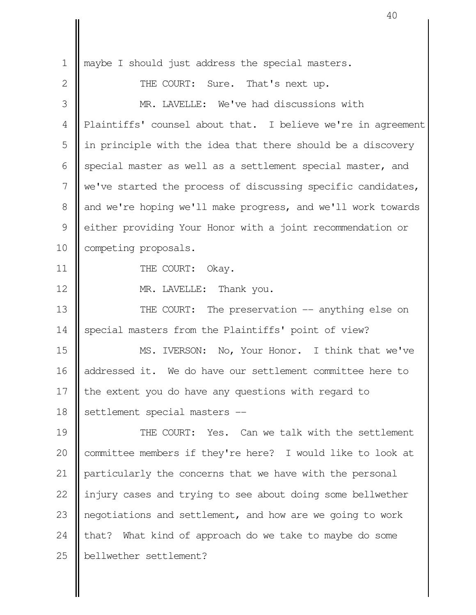maybe I should just address the special masters. THE COURT: Sure. That's next up. MR. LAVELLE: We've had discussions with Plaintiffs' counsel about that. I believe we're in agreement in principle with the idea that there should be a discovery special master as well as a settlement special master, and we've started the process of discussing specific candidates, and we're hoping we'll make progress, and we'll work towards either providing Your Honor with a joint recommendation or competing proposals. THE COURT: Okay. MR. LAVELLE: Thank you. THE COURT: The preservation -- anything else on special masters from the Plaintiffs' point of view? MS. IVERSON: No, Your Honor. I think that we've addressed it. We do have our settlement committee here to the extent you do have any questions with regard to settlement special masters -- THE COURT: Yes. Can we talk with the settlement committee members if they're here? I would like to look at particularly the concerns that we have with the personal injury cases and trying to see about doing some bellwether negotiations and settlement, and how are we going to work that? What kind of approach do we take to maybe do some bellwether settlement? 1  $\mathcal{D}_{\mathcal{L}}$  3 4 5 6 7 8 9 10 11 12 13 14 15 16 17 18 19 20 21 22 23 24 25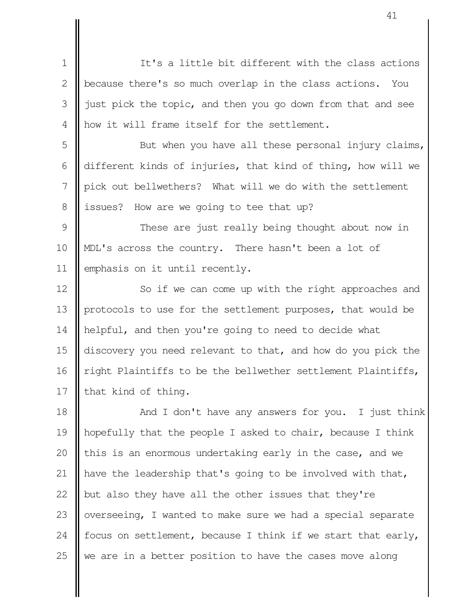It's a little bit different with the class actions because there's so much overlap in the class actions. You just pick the topic, and then you go down from that and see how it will frame itself for the settlement. 1 2 3 4

But when you have all these personal injury claims, different kinds of injuries, that kind of thing, how will we pick out bellwethers? What will we do with the settlement issues? How are we going to tee that up? 5 6 7 8

These are just really being thought about now in MDL's across the country. There hasn't been a lot of emphasis on it until recently. 9 10 11

So if we can come up with the right approaches and protocols to use for the settlement purposes, that would be helpful, and then you're going to need to decide what discovery you need relevant to that, and how do you pick the right Plaintiffs to be the bellwether settlement Plaintiffs, that kind of thing. 12 13 14 15 16 17

And I don't have any answers for you. I just think hopefully that the people I asked to chair, because I think this is an enormous undertaking early in the case, and we have the leadership that's going to be involved with that, but also they have all the other issues that they're overseeing, I wanted to make sure we had a special separate focus on settlement, because I think if we start that early, we are in a better position to have the cases move along 18 19 20 21 22 23 24 25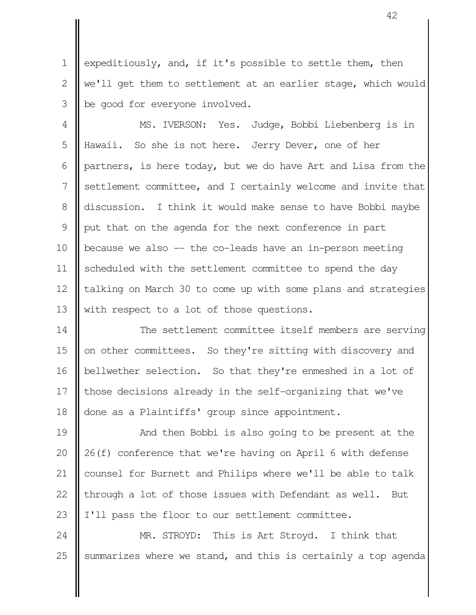expeditiously, and, if it's possible to settle them, then we'll get them to settlement at an earlier stage, which would be good for everyone involved. 1  $\mathcal{D}_{\mathcal{L}}$ 3

MS. IVERSON: Yes. Judge, Bobbi Liebenberg is in Hawaii. So she is not here. Jerry Dever, one of her partners, is here today, but we do have Art and Lisa from the settlement committee, and I certainly welcome and invite that discussion. I think it would make sense to have Bobbi maybe put that on the agenda for the next conference in part because we also -- the co-leads have an in-person meeting scheduled with the settlement committee to spend the day talking on March 30 to come up with some plans and strategies with respect to a lot of those questions. 4 5 6 7 8 9 10 11 12 13

The settlement committee itself members are serving on other committees. So they're sitting with discovery and bellwether selection. So that they're enmeshed in a lot of those decisions already in the self-organizing that we've done as a Plaintiffs' group since appointment. 14 15 16 17 18

And then Bobbi is also going to be present at the 26(f) conference that we're having on April 6 with defense counsel for Burnett and Philips where we'll be able to talk through a lot of those issues with Defendant as well. But I'll pass the floor to our settlement committee. 19 20 21 22 23

MR. STROYD: This is Art Stroyd. I think that summarizes where we stand, and this is certainly a top agenda 24 25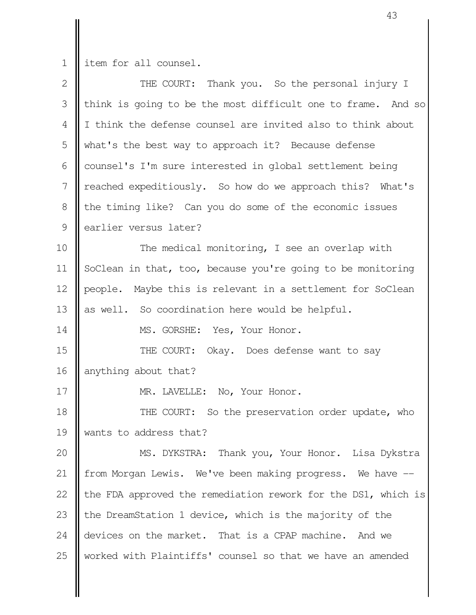1 | item for all counsel.

| $\mathbf{2}$  | THE COURT: Thank you. So the personal injury I                |
|---------------|---------------------------------------------------------------|
| 3             | think is going to be the most difficult one to frame. And so  |
| 4             | I think the defense counsel are invited also to think about   |
| 5             | what's the best way to approach it? Because defense           |
| 6             | counsel's I'm sure interested in global settlement being      |
| 7             | reached expeditiously. So how do we approach this? What's     |
| 8             | the timing like? Can you do some of the economic issues       |
| $\mathcal{G}$ | earlier versus later?                                         |
| 10            | The medical monitoring, I see an overlap with                 |
| 11            | SoClean in that, too, because you're going to be monitoring   |
| 12            | people. Maybe this is relevant in a settlement for SoClean    |
| 13            | as well. So coordination here would be helpful.               |
| 14            | MS. GORSHE: Yes, Your Honor.                                  |
| 15            | THE COURT:<br>Okay. Does defense want to say                  |
| 16            | anything about that?                                          |
| 17            | MR. LAVELLE: No, Your Honor.                                  |
| 18            | THE COURT: So the preservation order update, who              |
| 19            | wants to address that?                                        |
| 20            | MS. DYKSTRA: Thank you, Your Honor. Lisa Dykstra              |
| 21            | from Morgan Lewis. We've been making progress. We have --     |
| 22            | the FDA approved the remediation rework for the DS1, which is |
| 23            | the DreamStation 1 device, which is the majority of the       |
| 24            | devices on the market. That is a CPAP machine. And we         |
| 25            | worked with Plaintiffs' counsel so that we have an amended    |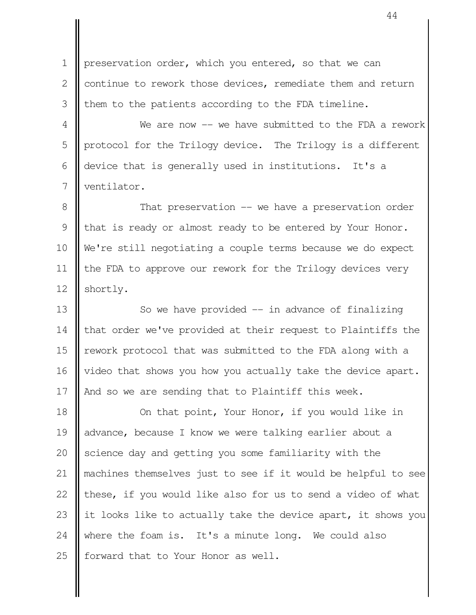preservation order, which you entered, so that we can continue to rework those devices, remediate them and return them to the patients according to the FDA timeline. 1 2 3

We are now -- we have submitted to the FDA a rework protocol for the Trilogy device. The Trilogy is a different device that is generally used in institutions. It's a ventilator. 4 5 6 7

That preservation -- we have a preservation order that is ready or almost ready to be entered by Your Honor. We're still negotiating a couple terms because we do expect the FDA to approve our rework for the Trilogy devices very shortly. 8 9 10 11 12

So we have provided  $-$  in advance of finalizing that order we've provided at their request to Plaintiffs the rework protocol that was submitted to the FDA along with a video that shows you how you actually take the device apart. And so we are sending that to Plaintiff this week. 13 14 15 16 17

On that point, Your Honor, if you would like in advance, because I know we were talking earlier about a science day and getting you some familiarity with the machines themselves just to see if it would be helpful to see these, if you would like also for us to send a video of what it looks like to actually take the device apart, it shows you where the foam is. It's a minute long. We could also forward that to Your Honor as well. 18 19 20 21 22 23 24 25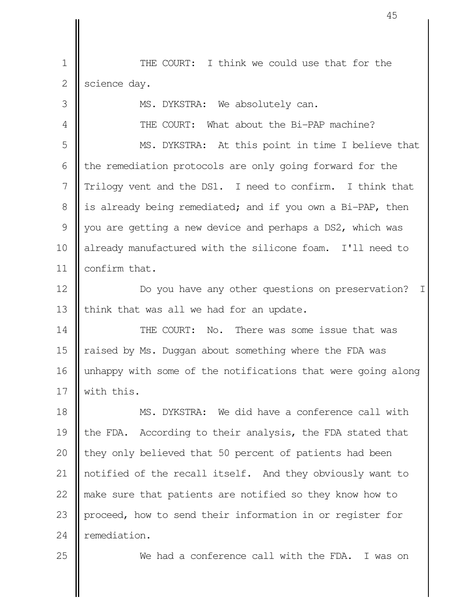THE COURT: I think we could use that for the science day. 1 2

MS. DYKSTRA: We absolutely can. THE COURT: What about the Bi-PAP machine? MS. DYKSTRA: At this point in time I believe that the remediation protocols are only going forward for the Trilogy vent and the DS1. I need to confirm. I think that is already being remediated; and if you own a Bi-PAP, then you are getting a new device and perhaps a DS2, which was already manufactured with the silicone foam. I'll need to confirm that. Do you have any other questions on preservation? I think that was all we had for an update. THE COURT: No. There was some issue that was raised by Ms. Duggan about something where the FDA was unhappy with some of the notifications that were going along with this. MS. DYKSTRA: We did have a conference call with the FDA. According to their analysis, the FDA stated that they only believed that 50 percent of patients had been notified of the recall itself. And they obviously want to make sure that patients are notified so they know how to proceed, how to send their information in or register for remediation. 3 4 5 6 7 8 9 10 11 12 13 14 15 16 17 18 19 20 21 22 23 24

25

We had a conference call with the FDA. I was on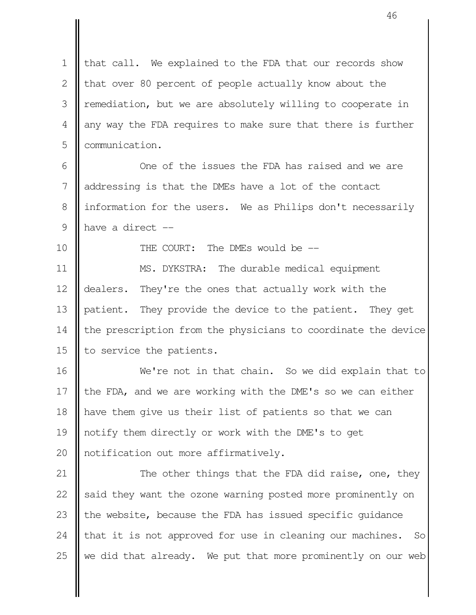that call. We explained to the FDA that our records show that over 80 percent of people actually know about the remediation, but we are absolutely willing to cooperate in any way the FDA requires to make sure that there is further communication. 1 2 3 4 5

One of the issues the FDA has raised and we are addressing is that the DMEs have a lot of the contact information for the users. We as Philips don't necessarily have a direct -- 6 7 8 9

THE COURT: The DMEs would be --

10

MS. DYKSTRA: The durable medical equipment dealers. They're the ones that actually work with the patient. They provide the device to the patient. They get the prescription from the physicians to coordinate the device to service the patients. 11 12 13 14 15

We're not in that chain. So we did explain that to the FDA, and we are working with the DME's so we can either have them give us their list of patients so that we can notify them directly or work with the DME's to get notification out more affirmatively. 16 17 18 19 20

The other things that the FDA did raise, one, they said they want the ozone warning posted more prominently on the website, because the FDA has issued specific guidance that it is not approved for use in cleaning our machines. So we did that already. We put that more prominently on our web 21 22 23 24 25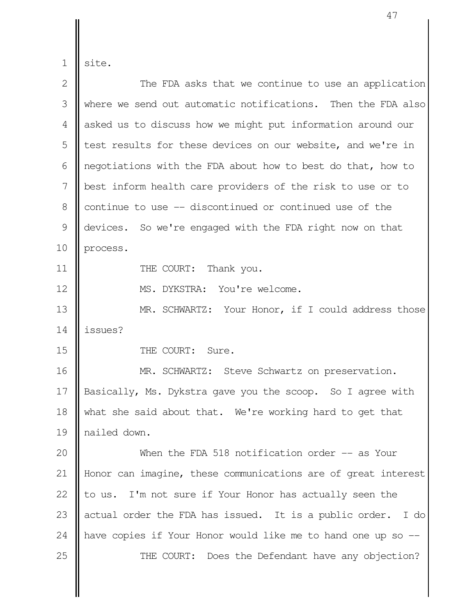1 site.

| $\overline{2}$ | The FDA asks that we continue to use an application            |
|----------------|----------------------------------------------------------------|
| 3              | where we send out automatic notifications. Then the FDA also   |
| 4              | asked us to discuss how we might put information around our    |
| 5              | test results for these devices on our website, and we're in    |
| 6              | negotiations with the FDA about how to best do that, how to    |
| 7              | best inform health care providers of the risk to use or to     |
| 8              | continue to use -- discontinued or continued use of the        |
| $\mathcal{G}$  | devices. So we're engaged with the FDA right now on that       |
| 10             | process.                                                       |
| 11             | THE COURT:<br>Thank you.                                       |
| 12             | MS. DYKSTRA: You're welcome.                                   |
| 13             | MR. SCHWARTZ: Your Honor, if I could address those             |
| 14             | issues?                                                        |
| 15             | THE COURT: Sure.                                               |
| 16             | MR. SCHWARTZ: Steve Schwartz on preservation.                  |
| 17             | Basically, Ms. Dykstra gave you the scoop. So I agree with     |
| 18             | what she said about that. We're working hard to get that       |
| 19             | nailed down.                                                   |
| 20             | When the FDA 518 notification order -- as Your                 |
| 21             | Honor can imagine, these communications are of great interest  |
| 22             | to us. I'm not sure if Your Honor has actually seen the        |
| 23             | actual order the FDA has issued. It is a public order.<br>I do |
| 24             | have copies if Your Honor would like me to hand one up so --   |
| 25             | THE COURT:<br>Does the Defendant have any objection?           |
|                |                                                                |
|                |                                                                |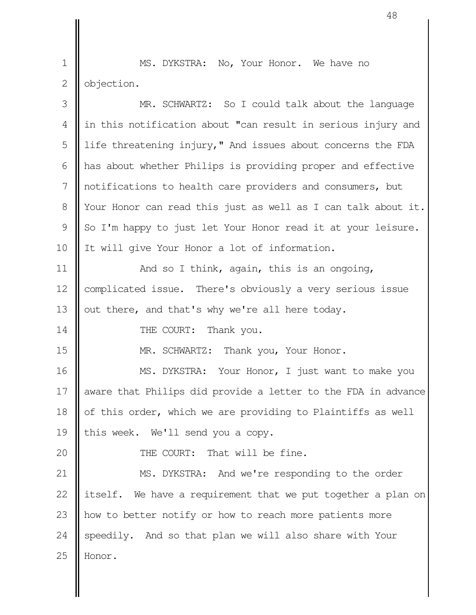MS. DYKSTRA: No, Your Honor. We have no objection. 1 2

| 3             | MR. SCHWARTZ: So I could talk about the language                |
|---------------|-----------------------------------------------------------------|
| 4             | in this notification about "can result in serious injury and    |
| 5             | life threatening injury," And issues about concerns the FDA     |
| 6             | has about whether Philips is providing proper and effective     |
| 7             | notifications to health care providers and consumers, but       |
| $8\,$         | Your Honor can read this just as well as I can talk about it.   |
| $\mathcal{G}$ | So I'm happy to just let Your Honor read it at your leisure.    |
| 10            | It will give Your Honor a lot of information.                   |
| 11            | And so I think, again, this is an ongoing,                      |
| 12            | complicated issue. There's obviously a very serious issue       |
| 13            | out there, and that's why we're all here today.                 |
| 14            | THE COURT:<br>Thank you.                                        |
| 15            | MR. SCHWARTZ: Thank you, Your Honor.                            |
| 16            | MS. DYKSTRA: Your Honor, I just want to make you                |
| 17            | aware that Philips did provide a letter to the FDA in advance   |
| 18            | of this order, which we are providing to Plaintiffs as well     |
| 19            | this week. We'll send you a copy.                               |
| 20            | THE COURT: That will be fine.                                   |
| 21            | MS. DYKSTRA: And we're responding to the order                  |
| 22            | itself.<br>We have a requirement that we put together a plan on |
| 23            | how to better notify or how to reach more patients more         |
| 24            | And so that plan we will also share with Your<br>speedily.      |
| 25            | Honor.                                                          |
|               |                                                                 |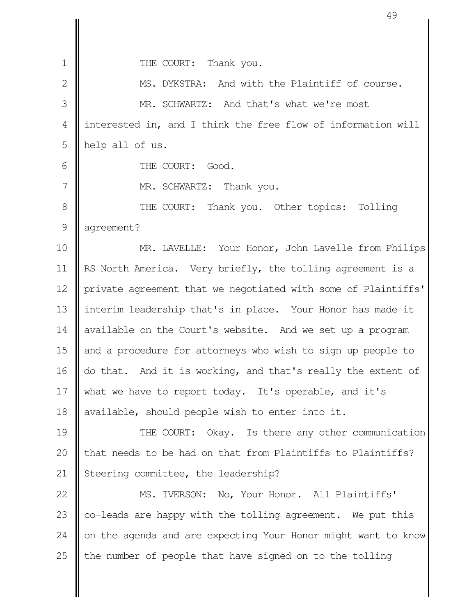THE COURT: Thank you. MS. DYKSTRA: And with the Plaintiff of course. MR. SCHWARTZ: And that's what we're most interested in, and I think the free flow of information will help all of us. THE COURT: Good. MR. SCHWARTZ: Thank you. THE COURT: Thank you. Other topics: Tolling agreement? MR. LAVELLE: Your Honor, John Lavelle from Philips RS North America. Very briefly, the tolling agreement is a private agreement that we negotiated with some of Plaintiffs' interim leadership that's in place. Your Honor has made it available on the Court's website. And we set up a program and a procedure for attorneys who wish to sign up people to do that. And it is working, and that's really the extent of what we have to report today. It's operable, and it's available, should people wish to enter into it. THE COURT: Okay. Is there any other communication that needs to be had on that from Plaintiffs to Plaintiffs? Steering committee, the leadership? MS. IVERSON: No, Your Honor. All Plaintiffs' co-leads are happy with the tolling agreement. We put this on the agenda and are expecting Your Honor might want to know the number of people that have signed on to the tolling 1  $\mathcal{D}_{\mathcal{L}}$  3 4 5 6 7 8 9 10 11 12 13 14 15 16 17 18 19 20 21 22 23 24 25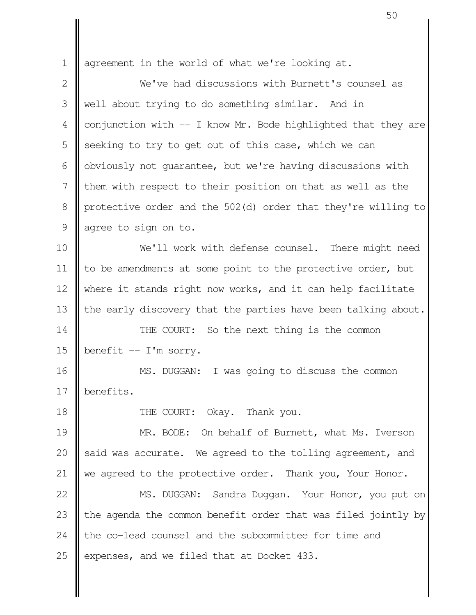agreement in the world of what we're looking at. We've had discussions with Burnett's counsel as well about trying to do something similar. And in conjunction with -- I know Mr. Bode highlighted that they are seeking to try to get out of this case, which we can obviously not guarantee, but we're having discussions with them with respect to their position on that as well as the protective order and the 502(d) order that they're willing to agree to sign on to. We'll work with defense counsel. There might need to be amendments at some point to the protective order, but where it stands right now works, and it can help facilitate the early discovery that the parties have been talking about. THE COURT: So the next thing is the common benefit -- I'm sorry. MS. DUGGAN: I was going to discuss the common benefits. THE COURT: Okay. Thank you. MR. BODE: On behalf of Burnett, what Ms. Iverson said was accurate. We agreed to the tolling agreement, and we agreed to the protective order. Thank you, Your Honor. MS. DUGGAN: Sandra Duggan. Your Honor, you put on the agenda the common benefit order that was filed jointly by the co-lead counsel and the subcommittee for time and expenses, and we filed that at Docket 433. 1 2 3 4 5 6 7 8 9 10 11 12 13 14 15 16 17 18 19 20 21 22 23 24 25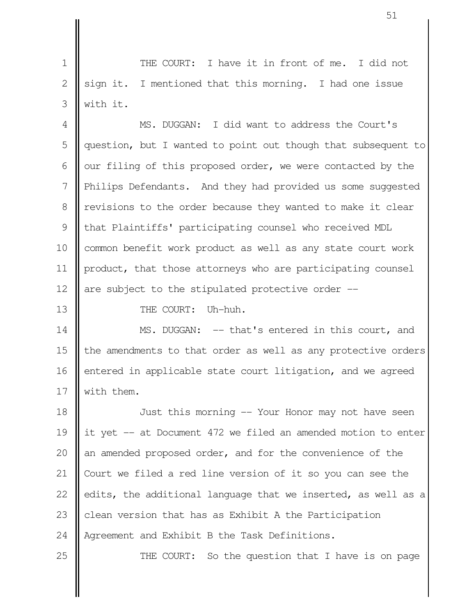THE COURT: I have it in front of me. I did not sign it. I mentioned that this morning. I had one issue with it. 1 2 3

MS. DUGGAN: I did want to address the Court's question, but I wanted to point out though that subsequent to our filing of this proposed order, we were contacted by the Philips Defendants. And they had provided us some suggested revisions to the order because they wanted to make it clear that Plaintiffs' participating counsel who received MDL common benefit work product as well as any state court work product, that those attorneys who are participating counsel are subject to the stipulated protective order -- 4 5 6 7 8 9 10 11 12

13

THE COURT: Uh-huh.

MS. DUGGAN: -- that's entered in this court, and the amendments to that order as well as any protective orders entered in applicable state court litigation, and we agreed with them. 14 15 16 17

Just this morning -- Your Honor may not have seen it yet -- at Document 472 we filed an amended motion to enter an amended proposed order, and for the convenience of the Court we filed a red line version of it so you can see the edits, the additional language that we inserted, as well as a clean version that has as Exhibit A the Participation Agreement and Exhibit B the Task Definitions. 18 19 20 21 22 23 24

25

THE COURT: So the question that I have is on page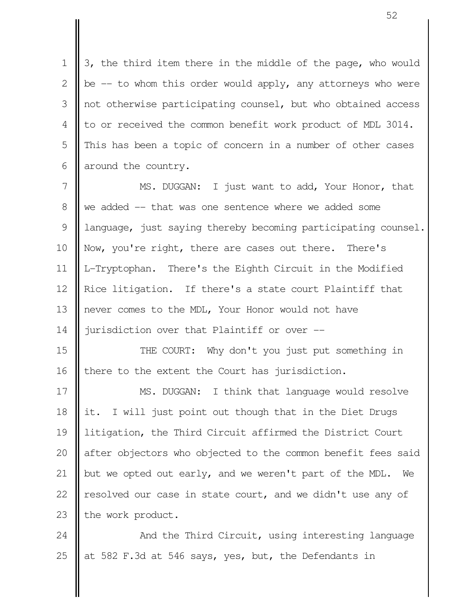3, the third item there in the middle of the page, who would be  $-$  to whom this order would apply, any attorneys who were not otherwise participating counsel, but who obtained access to or received the common benefit work product of MDL 3014. This has been a topic of concern in a number of other cases around the country. 1  $\mathcal{L}$  3 4 5 6

MS. DUGGAN: I just want to add, Your Honor, that we added -- that was one sentence where we added some language, just saying thereby becoming participating counsel. Now, you're right, there are cases out there. There's L-Tryptophan. There's the Eighth Circuit in the Modified Rice litigation. If there's a state court Plaintiff that never comes to the MDL, Your Honor would not have jurisdiction over that Plaintiff or over -- 7 8 9 10 11 12 13 14

THE COURT: Why don't you just put something in there to the extent the Court has jurisdiction. 15 16

MS. DUGGAN: I think that language would resolve it. I will just point out though that in the Diet Drugs litigation, the Third Circuit affirmed the District Court after objectors who objected to the common benefit fees said but we opted out early, and we weren't part of the MDL. We resolved our case in state court, and we didn't use any of the work product. 17 18 19 20 21 22 23

And the Third Circuit, using interesting language at 582 F.3d at 546 says, yes, but, the Defendants in 24 25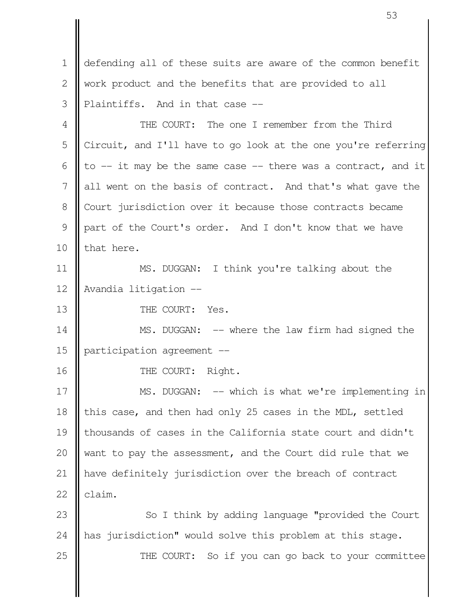defending all of these suits are aware of the common benefit work product and the benefits that are provided to all Plaintiffs. And in that case -- THE COURT: The one I remember from the Third Circuit, and I'll have to go look at the one you're referring to -- it may be the same case -- there was a contract, and it all went on the basis of contract. And that's what gave the 1  $\mathcal{D}_{\mathcal{L}}$  3 4 5 6 7

part of the Court's order. And I don't know that we have that here. 9 10

Court jurisdiction over it because those contracts became

MS. DUGGAN: I think you're talking about the Avandia litigation -- 11 12

THE COURT: Yes. 13

8

MS. DUGGAN: -- where the law firm had signed the participation agreement -- 14 15

THE COURT: Right. 16

MS. DUGGAN: -- which is what we're implementing in this case, and then had only 25 cases in the MDL, settled thousands of cases in the California state court and didn't want to pay the assessment, and the Court did rule that we have definitely jurisdiction over the breach of contract claim. 17 18 19 20 21 22

 So I think by adding language "provided the Court has jurisdiction" would solve this problem at this stage. THE COURT: So if you can go back to your committee 23 24 25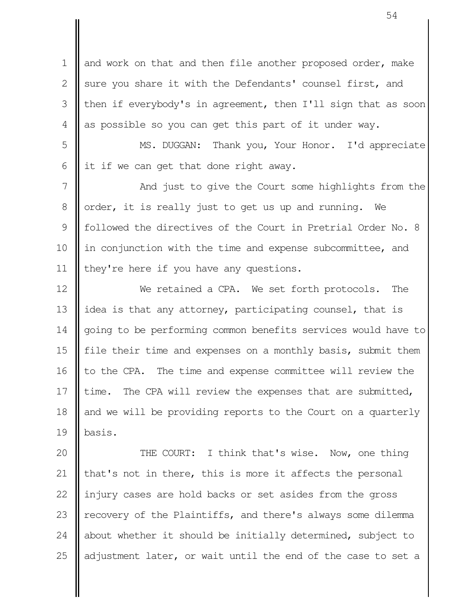and work on that and then file another proposed order, make sure you share it with the Defendants' counsel first, and then if everybody's in agreement, then I'll sign that as soon as possible so you can get this part of it under way. 1 2 3 4

MS. DUGGAN: Thank you, Your Honor. I'd appreciate it if we can get that done right away. 5 6

And just to give the Court some highlights from the order, it is really just to get us up and running. We followed the directives of the Court in Pretrial Order No. 8 in conjunction with the time and expense subcommittee, and they're here if you have any questions. 7 8 9 10 11

We retained a CPA. We set forth protocols. The idea is that any attorney, participating counsel, that is going to be performing common benefits services would have to file their time and expenses on a monthly basis, submit them to the CPA. The time and expense committee will review the time. The CPA will review the expenses that are submitted, and we will be providing reports to the Court on a quarterly basis. 12 13 14 15 16 17 18 19

THE COURT: I think that's wise. Now, one thing that's not in there, this is more it affects the personal injury cases are hold backs or set asides from the gross recovery of the Plaintiffs, and there's always some dilemma about whether it should be initially determined, subject to adjustment later, or wait until the end of the case to set a 20 21 22 23 24 25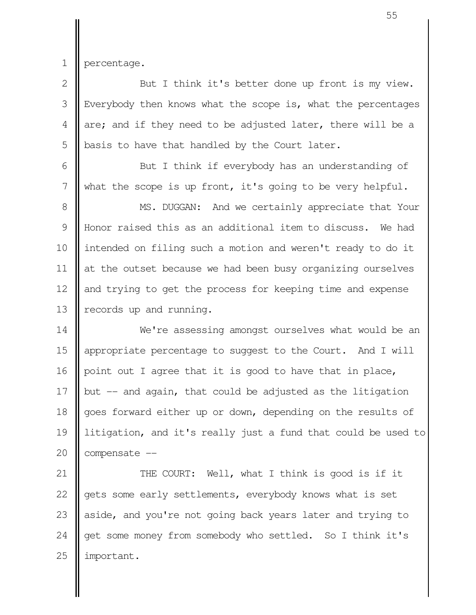1

percentage.

But I think it's better done up front is my view. Everybody then knows what the scope is, what the percentages are; and if they need to be adjusted later, there will be a basis to have that handled by the Court later. 2 3 4 5

But I think if everybody has an understanding of what the scope is up front, it's going to be very helpful. 6 7

MS. DUGGAN: And we certainly appreciate that Your Honor raised this as an additional item to discuss. We had intended on filing such a motion and weren't ready to do it at the outset because we had been busy organizing ourselves and trying to get the process for keeping time and expense records up and running. 8 9 10 11 12 13

We're assessing amongst ourselves what would be an appropriate percentage to suggest to the Court. And I will point out I agree that it is good to have that in place, but -- and again, that could be adjusted as the litigation goes forward either up or down, depending on the results of litigation, and it's really just a fund that could be used to compensate -- 14 15 16 17 18 19 20

THE COURT: Well, what I think is good is if it gets some early settlements, everybody knows what is set aside, and you're not going back years later and trying to get some money from somebody who settled. So I think it's important. 21 22 23 24 25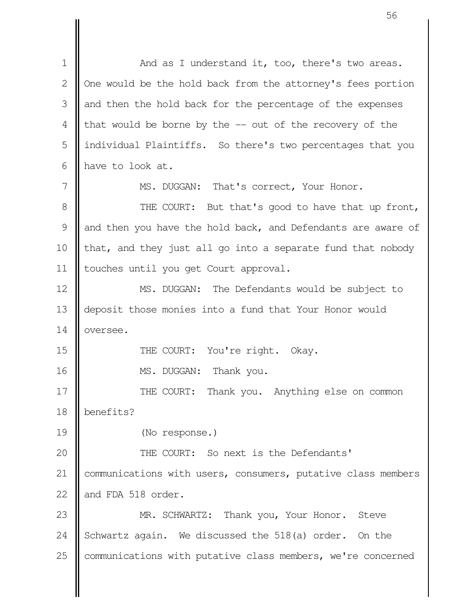And as I understand it, too, there's two areas. One would be the hold back from the attorney's fees portion and then the hold back for the percentage of the expenses that would be borne by the -- out of the recovery of the individual Plaintiffs. So there's two percentages that you have to look at. MS. DUGGAN: That's correct, Your Honor. THE COURT: But that's good to have that up front, and then you have the hold back, and Defendants are aware of that, and they just all go into a separate fund that nobody touches until you get Court approval. MS. DUGGAN: The Defendants would be subject to deposit those monies into a fund that Your Honor would oversee. THE COURT: You're right. Okay. MS. DUGGAN: Thank you. THE COURT: Thank you. Anything else on common benefits? (No response.) THE COURT: So next is the Defendants' communications with users, consumers, putative class members and FDA 518 order. MR. SCHWARTZ: Thank you, Your Honor. Steve Schwartz again. We discussed the 518(a) order. On the communications with putative class members, we're concerned 1 2 3 4 5 6 7 8 9 10 11 12 13 14 15 16 17 18 19 20 21 22 23 24 25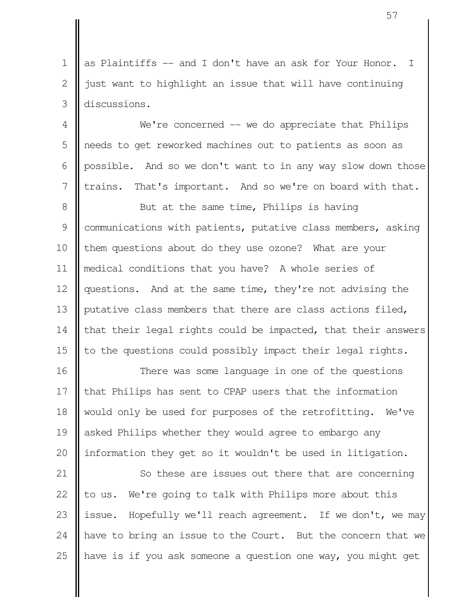as Plaintiffs -- and I don't have an ask for Your Honor. I just want to highlight an issue that will have continuing discussions. 1  $\mathcal{D}_{\mathcal{L}}$ 3

 $We're concerned -- we do appreciate that Phillips$ needs to get reworked machines out to patients as soon as possible. And so we don't want to in any way slow down those trains. That's important. And so we're on board with that. 4 5 6 7

But at the same time, Philips is having communications with patients, putative class members, asking them questions about do they use ozone? What are your medical conditions that you have? A whole series of questions. And at the same time, they're not advising the putative class members that there are class actions filed, that their legal rights could be impacted, that their answers to the questions could possibly impact their legal rights. 8 9 10 11 12 13 14 15

There was some language in one of the questions that Philips has sent to CPAP users that the information would only be used for purposes of the retrofitting. We've asked Philips whether they would agree to embargo any information they get so it wouldn't be used in litigation. 16 17 18 19 20

So these are issues out there that are concerning to us. We're going to talk with Philips more about this issue. Hopefully we'll reach agreement. If we don't, we may have to bring an issue to the Court. But the concern that we have is if you ask someone a question one way, you might get 21 22 23 24 25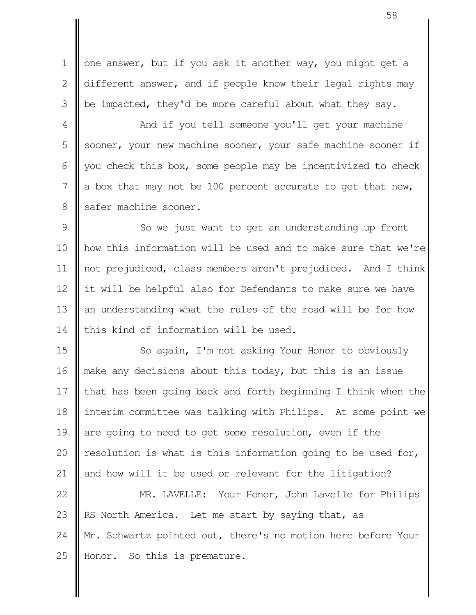one answer, but if you ask it another way, you might get a different answer, and if people know their legal rights may be impacted, they'd be more careful about what they say. 1 2 3

And if you tell someone you'll get your machine sooner, your new machine sooner, your safe machine sooner if you check this box, some people may be incentivized to check a box that may not be 100 percent accurate to get that new, safer machine sooner. 4 5 6 7 8

So we just want to get an understanding up front how this information will be used and to make sure that we're not prejudiced, class members aren't prejudiced. And I think it will be helpful also for Defendants to make sure we have an understanding what the rules of the road will be for how this kind of information will be used. 9 10 11 12 13 14

So again, I'm not asking Your Honor to obviously make any decisions about this today, but this is an issue that has been going back and forth beginning I think when the interim committee was talking with Philips. At some point we are going to need to get some resolution, even if the resolution is what is this information going to be used for, and how will it be used or relevant for the litigation? 15 16 17 18 19 20 21

MR. LAVELLE: Your Honor, John Lavelle for Philips RS North America. Let me start by saying that, as Mr. Schwartz pointed out, there's no motion here before Your Honor. So this is premature. 22 23 24 25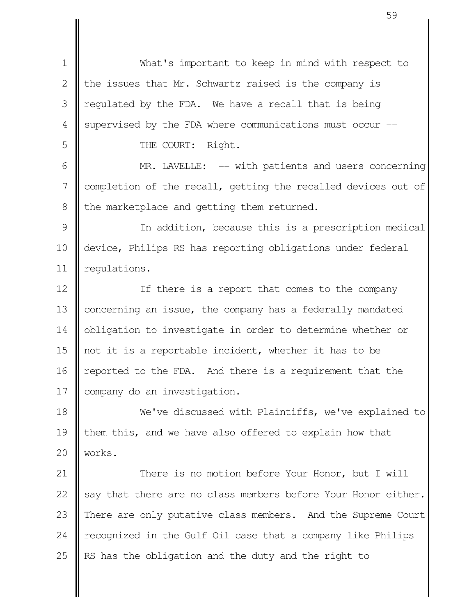| $\mathbf 1$    | What's important to keep in mind with respect to              |
|----------------|---------------------------------------------------------------|
| $\overline{2}$ | the issues that Mr. Schwartz raised is the company is         |
| 3              | regulated by the FDA. We have a recall that is being          |
| $\overline{4}$ | supervised by the FDA where communications must occur --      |
| 5              | THE COURT: Right.                                             |
| 6              | MR. LAVELLE: -- with patients and users concerning            |
| 7              | completion of the recall, getting the recalled devices out of |
| 8              | the marketplace and getting them returned.                    |
| 9              | In addition, because this is a prescription medical           |
| 10             | device, Philips RS has reporting obligations under federal    |
| 11             | regulations.                                                  |
| 12             | If there is a report that comes to the company                |
| 13             | concerning an issue, the company has a federally mandated     |
| 14             | obligation to investigate in order to determine whether or    |
| 15             | not it is a reportable incident, whether it has to be         |
| 16             | reported to the FDA. And there is a requirement that the      |
| 17             | company do an investigation.                                  |
| 18             | We've discussed with Plaintiffs, we've explained to           |
| 19             | them this, and we have also offered to explain how that       |
| 20             | works.                                                        |
| 21             | There is no motion before Your Honor, but I will              |
| 22             | say that there are no class members before Your Honor either. |
| 23             | There are only putative class members. And the Supreme Court  |
| 24             | recognized in the Gulf Oil case that a company like Philips   |
| 25             | RS has the obligation and the duty and the right to           |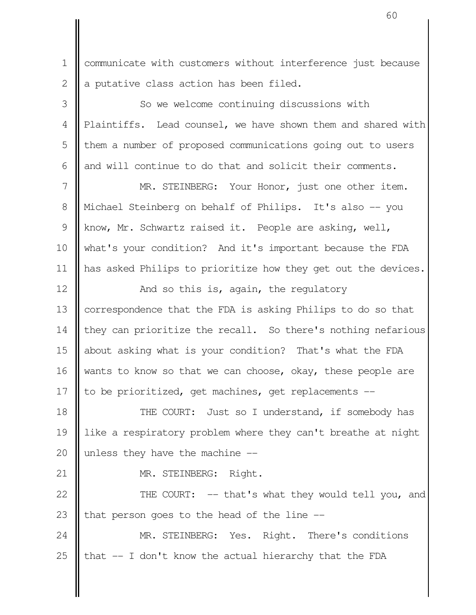communicate with customers without interference just because a putative class action has been filed. 1 2

So we welcome continuing discussions with Plaintiffs. Lead counsel, we have shown them and shared with them a number of proposed communications going out to users and will continue to do that and solicit their comments. MR. STEINBERG: Your Honor, just one other item. Michael Steinberg on behalf of Philips. It's also -- you know, Mr. Schwartz raised it. People are asking, well, what's your condition? And it's important because the FDA has asked Philips to prioritize how they get out the devices. And so this is, again, the regulatory correspondence that the FDA is asking Philips to do so that they can prioritize the recall. So there's nothing nefarious about asking what is your condition? That's what the FDA wants to know so that we can choose, okay, these people are to be prioritized, get machines, get replacements -- THE COURT: Just so I understand, if somebody has like a respiratory problem where they can't breathe at night 3 4 5 6 7 8 9 10 11 12 13 14 15 16 17 18 19

unless they have the machine -- 20

21

MR. STEINBERG: Right.

THE COURT: -- that's what they would tell you, and that person goes to the head of the line -- 22 23

MR. STEINBERG: Yes. Right. There's conditions that -- I don't know the actual hierarchy that the FDA 24 25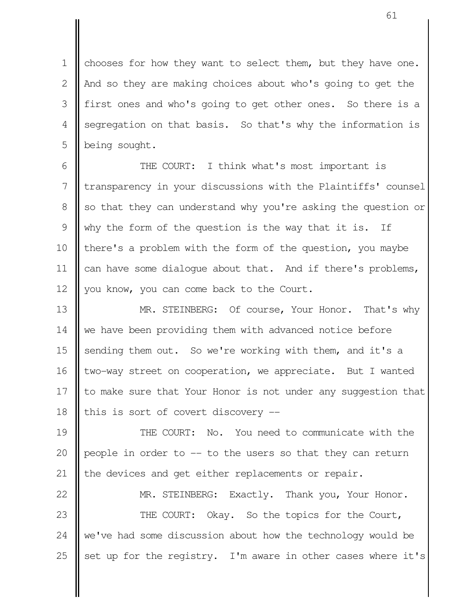chooses for how they want to select them, but they have one. And so they are making choices about who's going to get the first ones and who's going to get other ones. So there is a segregation on that basis. So that's why the information is being sought. 1  $\mathcal{D}_{\mathcal{L}}$  3 4 5

THE COURT: I think what's most important is transparency in your discussions with the Plaintiffs' counsel so that they can understand why you're asking the question or why the form of the question is the way that it is. If there's a problem with the form of the question, you maybe can have some dialogue about that. And if there's problems, you know, you can come back to the Court. 6 7 8 9 10 11 12

MR. STEINBERG: Of course, Your Honor. That's why we have been providing them with advanced notice before sending them out. So we're working with them, and it's a two-way street on cooperation, we appreciate. But I wanted to make sure that Your Honor is not under any suggestion that this is sort of covert discovery -- 13 14 15 16 17 18

THE COURT: No. You need to communicate with the people in order to -- to the users so that they can return the devices and get either replacements or repair. 19 20 21

MR. STEINBERG: Exactly. Thank you, Your Honor. THE COURT: Okay. So the topics for the Court, we've had some discussion about how the technology would be set up for the registry. I'm aware in other cases where it's 22 23 24 25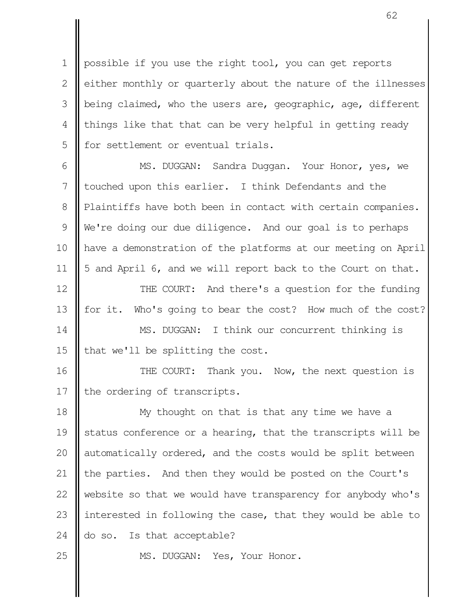possible if you use the right tool, you can get reports either monthly or quarterly about the nature of the illnesses being claimed, who the users are, geographic, age, different things like that that can be very helpful in getting ready for settlement or eventual trials. 1 2 3 4 5

MS. DUGGAN: Sandra Duggan. Your Honor, yes, we touched upon this earlier. I think Defendants and the Plaintiffs have both been in contact with certain companies. We're doing our due diligence. And our goal is to perhaps have a demonstration of the platforms at our meeting on April 5 and April 6, and we will report back to the Court on that. 6 7 8 9 10 11

THE COURT: And there's a question for the funding for it. Who's going to bear the cost? How much of the cost? MS. DUGGAN: I think our concurrent thinking is 12 13 14

that we'll be splitting the cost. 15

THE COURT: Thank you. Now, the next question is the ordering of transcripts. 16 17

My thought on that is that any time we have a status conference or a hearing, that the transcripts will be automatically ordered, and the costs would be split between the parties. And then they would be posted on the Court's website so that we would have transparency for anybody who's interested in following the case, that they would be able to do so. Is that acceptable? 18 19 20 21 22 23 24

25

MS. DUGGAN: Yes, Your Honor.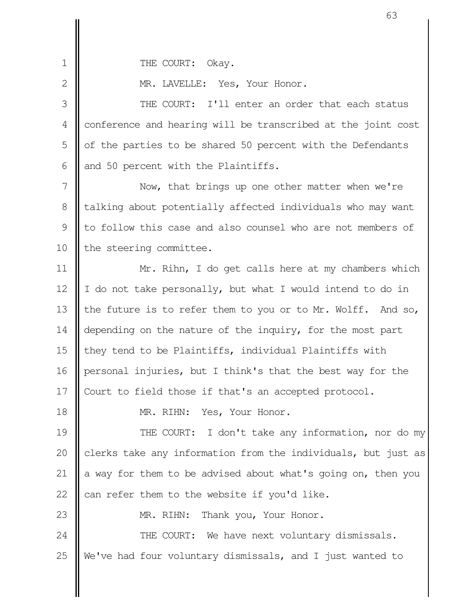1

 $\mathcal{D}_{\mathcal{L}}$ 

18

THE COURT: Okay.

MR. LAVELLE: Yes, Your Honor.

THE COURT: I'll enter an order that each status conference and hearing will be transcribed at the joint cost of the parties to be shared 50 percent with the Defendants and 50 percent with the Plaintiffs. 3 4 5 6

Now, that brings up one other matter when we're talking about potentially affected individuals who may want to follow this case and also counsel who are not members of the steering committee. 7 8 9 10

Mr. Rihn, I do get calls here at my chambers which I do not take personally, but what I would intend to do in the future is to refer them to you or to Mr. Wolff. And so, depending on the nature of the inquiry, for the most part they tend to be Plaintiffs, individual Plaintiffs with personal injuries, but I think's that the best way for the Court to field those if that's an accepted protocol. 11 12 13 14 15 16 17

MR. RIHN: Yes, Your Honor.

THE COURT: I don't take any information, nor do my clerks take any information from the individuals, but just as a way for them to be advised about what's going on, then you can refer them to the website if you'd like. 19 20 21 22

MR. RIHN: Thank you, Your Honor. 23

THE COURT: We have next voluntary dismissals. We've had four voluntary dismissals, and I just wanted to 24 25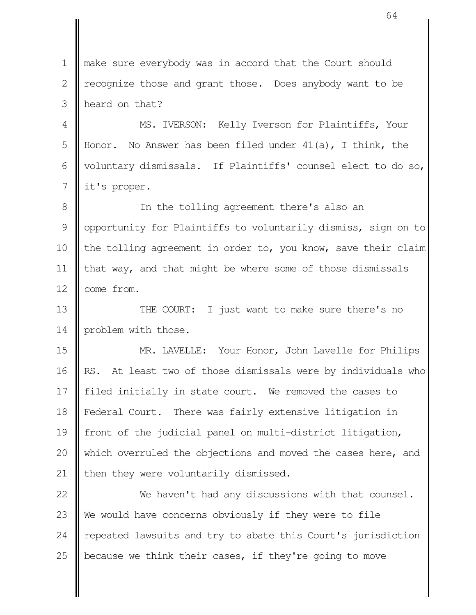make sure everybody was in accord that the Court should recognize those and grant those. Does anybody want to be heard on that? 1  $\mathcal{L}$ 3

MS. IVERSON: Kelly Iverson for Plaintiffs, Your Honor. No Answer has been filed under  $41(a)$ , I think, the voluntary dismissals. If Plaintiffs' counsel elect to do so, it's proper. 4 5 6 7

In the tolling agreement there's also an opportunity for Plaintiffs to voluntarily dismiss, sign on to the tolling agreement in order to, you know, save their claim that way, and that might be where some of those dismissals come from. 8 9 10 11 12

THE COURT: I just want to make sure there's no problem with those. 13 14

MR. LAVELLE: Your Honor, John Lavelle for Philips RS. At least two of those dismissals were by individuals who filed initially in state court. We removed the cases to Federal Court. There was fairly extensive litigation in front of the judicial panel on multi-district litigation, which overruled the objections and moved the cases here, and then they were voluntarily dismissed. 15 16 17 18 19 20 21

We haven't had any discussions with that counsel. We would have concerns obviously if they were to file repeated lawsuits and try to abate this Court's jurisdiction because we think their cases, if they're going to move 22 23 24 25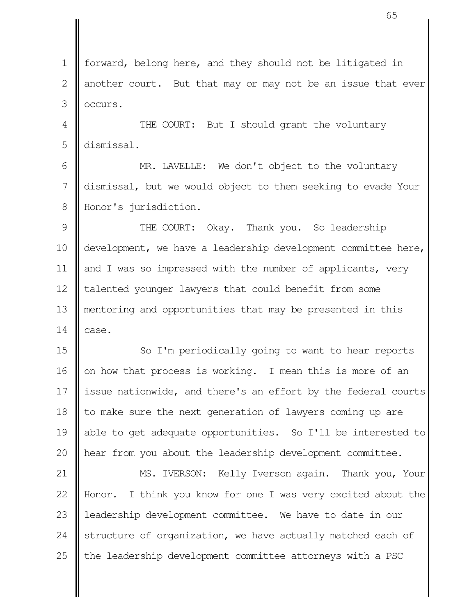forward, belong here, and they should not be litigated in another court. But that may or may not be an issue that ever occurs. 1  $\mathcal{L}$ 3

THE COURT: But I should grant the voluntary dismissal. 4 5

MR. LAVELLE: We don't object to the voluntary dismissal, but we would object to them seeking to evade Your Honor's jurisdiction. 6 7 8

THE COURT: Okay. Thank you. So leadership development, we have a leadership development committee here, and I was so impressed with the number of applicants, very talented younger lawyers that could benefit from some mentoring and opportunities that may be presented in this case. 9 10 11 12 13 14

So I'm periodically going to want to hear reports on how that process is working. I mean this is more of an issue nationwide, and there's an effort by the federal courts to make sure the next generation of lawyers coming up are able to get adequate opportunities. So I'll be interested to hear from you about the leadership development committee. 15 16 17 18 19 20

MS. IVERSON: Kelly Iverson again. Thank you, Your Honor. I think you know for one I was very excited about the leadership development committee. We have to date in our structure of organization, we have actually matched each of the leadership development committee attorneys with a PSC 21 22 23 24 25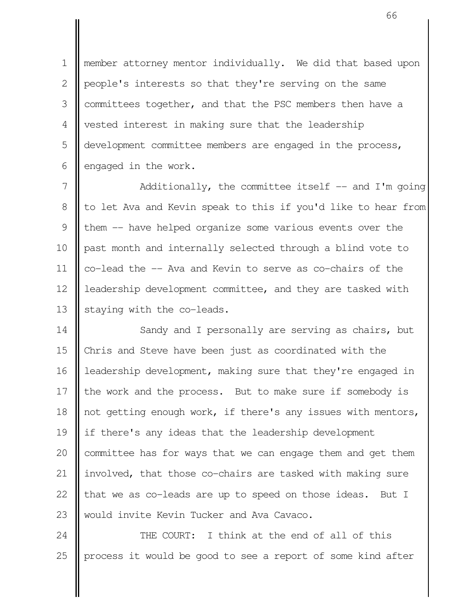member attorney mentor individually. We did that based upon people's interests so that they're serving on the same committees together, and that the PSC members then have a vested interest in making sure that the leadership development committee members are engaged in the process, engaged in the work. 1  $\mathcal{L}$  3 4 5 6

Additionally, the committee itself  $-$  and I'm going to let Ava and Kevin speak to this if you'd like to hear from them -- have helped organize some various events over the past month and internally selected through a blind vote to co-lead the -- Ava and Kevin to serve as co-chairs of the leadership development committee, and they are tasked with staying with the co-leads. 7 8 9 10 11 12 13

Sandy and I personally are serving as chairs, but Chris and Steve have been just as coordinated with the leadership development, making sure that they're engaged in the work and the process. But to make sure if somebody is not getting enough work, if there's any issues with mentors, if there's any ideas that the leadership development committee has for ways that we can engage them and get them involved, that those co-chairs are tasked with making sure that we as co-leads are up to speed on those ideas. But I would invite Kevin Tucker and Ava Cavaco. 14 15 16 17 18 19 20 21 22 23

THE COURT: I think at the end of all of this process it would be good to see a report of some kind after 24 25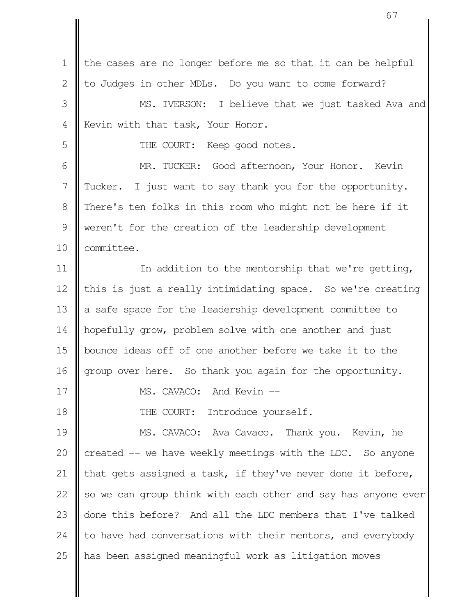the cases are no longer before me so that it can be helpful to Judges in other MDLs. Do you want to come forward? MS. IVERSON: I believe that we just tasked Ava and Kevin with that task, Your Honor. THE COURT: Keep good notes. MR. TUCKER: Good afternoon, Your Honor. Kevin Tucker. I just want to say thank you for the opportunity. There's ten folks in this room who might not be here if it weren't for the creation of the leadership development committee. In addition to the mentorship that we're getting, this is just a really intimidating space. So we're creating a safe space for the leadership development committee to hopefully grow, problem solve with one another and just bounce ideas off of one another before we take it to the group over here. So thank you again for the opportunity. MS. CAVACO: And Kevin --THE COURT: Introduce yourself. MS. CAVACO: Ava Cavaco. Thank you. Kevin, he created -- we have weekly meetings with the LDC. So anyone that gets assigned a task, if they've never done it before, so we can group think with each other and say has anyone ever done this before? And all the LDC members that I've talked to have had conversations with their mentors, and everybody has been assigned meaningful work as litigation moves 1 2 3 4 5 6 7 8 9 10 11 12 13 14 15 16 17 18 19 20 21 22 23 24 25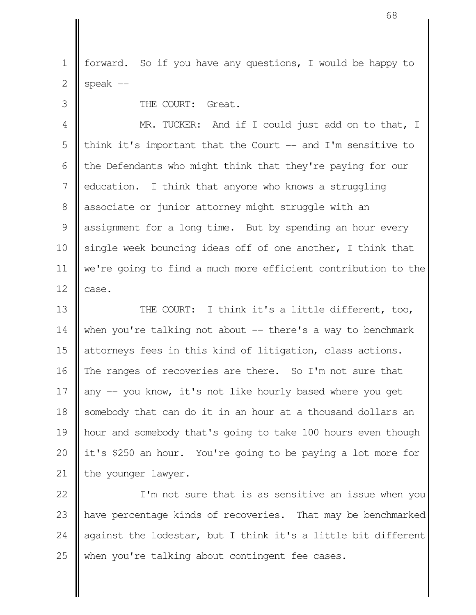forward. So if you have any questions, I would be happy to speak  $--$  1 2

THE COURT: Great.

3

MR. TUCKER: And if I could just add on to that, I think it's important that the Court  $-$  and I'm sensitive to the Defendants who might think that they're paying for our education. I think that anyone who knows a struggling associate or junior attorney might struggle with an assignment for a long time. But by spending an hour every single week bouncing ideas off of one another, I think that we're going to find a much more efficient contribution to the case. 4 5 6 7 8 9 10 11 12

THE COURT: I think it's a little different, too, when you're talking not about  $-$  there's a way to benchmark attorneys fees in this kind of litigation, class actions. The ranges of recoveries are there. So I'm not sure that any -- you know, it's not like hourly based where you get somebody that can do it in an hour at a thousand dollars an hour and somebody that's going to take 100 hours even though it's \$250 an hour. You're going to be paying a lot more for the younger lawyer. 13 14 15 16 17 18 19 20 21

I'm not sure that is as sensitive an issue when you have percentage kinds of recoveries. That may be benchmarked against the lodestar, but I think it's a little bit different when you're talking about contingent fee cases. 22 23 24 25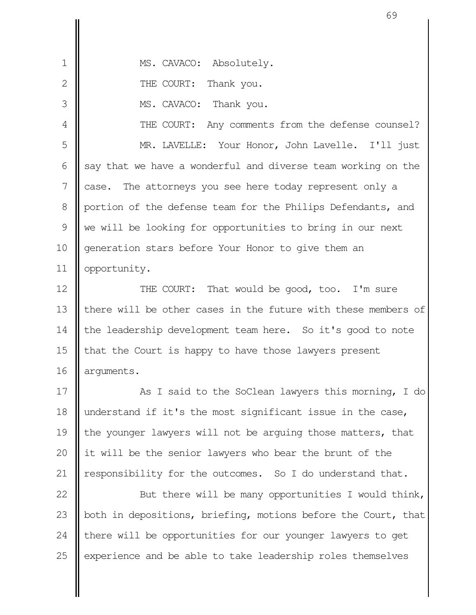| 1             | MS. CAVACO: Absolutely.                                       |
|---------------|---------------------------------------------------------------|
| 2             | THE COURT: Thank you.                                         |
| 3             | MS. CAVACO: Thank you.                                        |
| 4             | THE COURT: Any comments from the defense counsel?             |
| 5             | MR. LAVELLE: Your Honor, John Lavelle. I'll just              |
| 6             | say that we have a wonderful and diverse team working on the  |
| 7             | case. The attorneys you see here today represent only a       |
| 8             | portion of the defense team for the Philips Defendants, and   |
| $\mathcal{G}$ | we will be looking for opportunities to bring in our next     |
| 10            | generation stars before Your Honor to give them an            |
| 11            | opportunity.                                                  |
| 12            | THE COURT: That would be good, too. I'm sure                  |
| 13            | there will be other cases in the future with these members of |
|               |                                                               |

the leadership development team here. So it's good to note that the Court is happy to have those lawyers present arguments. 14 15 16

As I said to the SoClean lawyers this morning, I do understand if it's the most significant issue in the case, the younger lawyers will not be arguing those matters, that it will be the senior lawyers who bear the brunt of the responsibility for the outcomes. So I do understand that. 17 18 19 20 21

But there will be many opportunities I would think, both in depositions, briefing, motions before the Court, that there will be opportunities for our younger lawyers to get experience and be able to take leadership roles themselves 22 23 24 25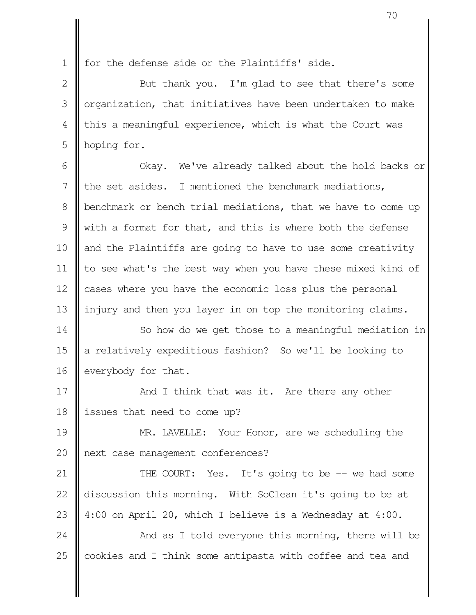for the defense side or the Plaintiffs' side. 1

But thank you. I'm glad to see that there's some organization, that initiatives have been undertaken to make this a meaningful experience, which is what the Court was hoping for. 2 3 4 5

Okay. We've already talked about the hold backs or the set asides. I mentioned the benchmark mediations, benchmark or bench trial mediations, that we have to come up with a format for that, and this is where both the defense and the Plaintiffs are going to have to use some creativity to see what's the best way when you have these mixed kind of cases where you have the economic loss plus the personal injury and then you layer in on top the monitoring claims. 6 7 8 9 10 11 12 13

So how do we get those to a meaningful mediation in a relatively expeditious fashion? So we'll be looking to everybody for that. 14 15 16

And I think that was it. Are there any other issues that need to come up? 17 18

MR. LAVELLE: Your Honor, are we scheduling the next case management conferences? 19 20

THE COURT: Yes. It's going to be -- we had some discussion this morning. With SoClean it's going to be at 4:00 on April 20, which I believe is a Wednesday at 4:00. 21 22 23

And as I told everyone this morning, there will be cookies and I think some antipasta with coffee and tea and 24 25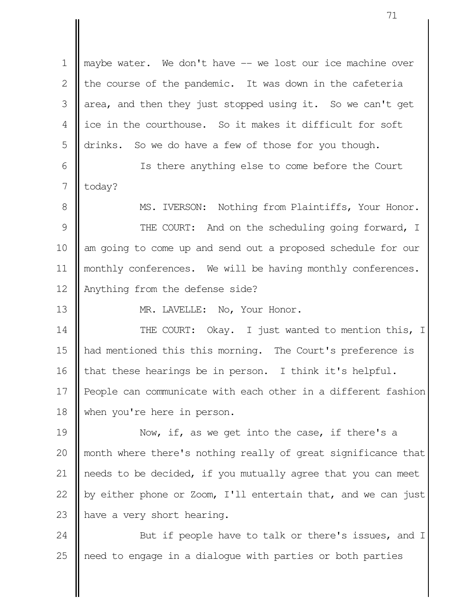maybe water. We don't have -- we lost our ice machine over the course of the pandemic. It was down in the cafeteria area, and then they just stopped using it. So we can't get ice in the courthouse. So it makes it difficult for soft drinks. So we do have a few of those for you though. Is there anything else to come before the Court today? MS. IVERSON: Nothing from Plaintiffs, Your Honor. THE COURT: And on the scheduling going forward, I am going to come up and send out a proposed schedule for our monthly conferences. We will be having monthly conferences. Anything from the defense side? MR. LAVELLE: No, Your Honor. THE COURT: Okay. I just wanted to mention this, I had mentioned this this morning. The Court's preference is that these hearings be in person. I think it's helpful. People can communicate with each other in a different fashion when you're here in person. Now, if, as we get into the case, if there's a month where there's nothing really of great significance that needs to be decided, if you mutually agree that you can meet by either phone or Zoom, I'll entertain that, and we can just have a very short hearing. 1 2 3 4 5 6 7 8 9 10 11 12 13 14 15 16 17 18 19 20 21 22 23

But if people have to talk or there's issues, and I need to engage in a dialogue with parties or both parties 24 25